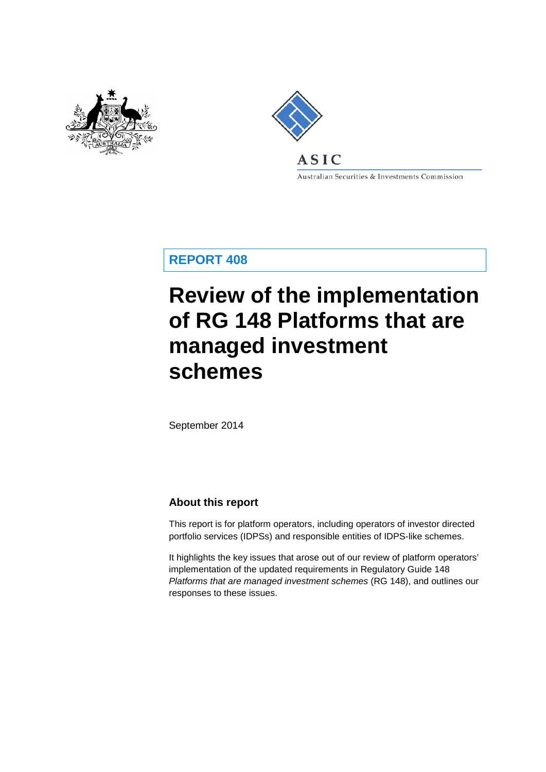



Australian Securities & Investments Commission

**REPORT 408**

# **Review of the implementation of RG 148 Platforms that are managed investment schemes**

September 2014

## **About this report**

This report is for platform operators, including operators of investor directed portfolio services (IDPSs) and responsible entities of IDPS-like schemes.

It highlights the key issues that arose out of our review of platform operators' implementation of the updated requirements in Regulatory Guide 148 *Platforms that are managed investment schemes* (RG 148), and outlines our responses to these issues.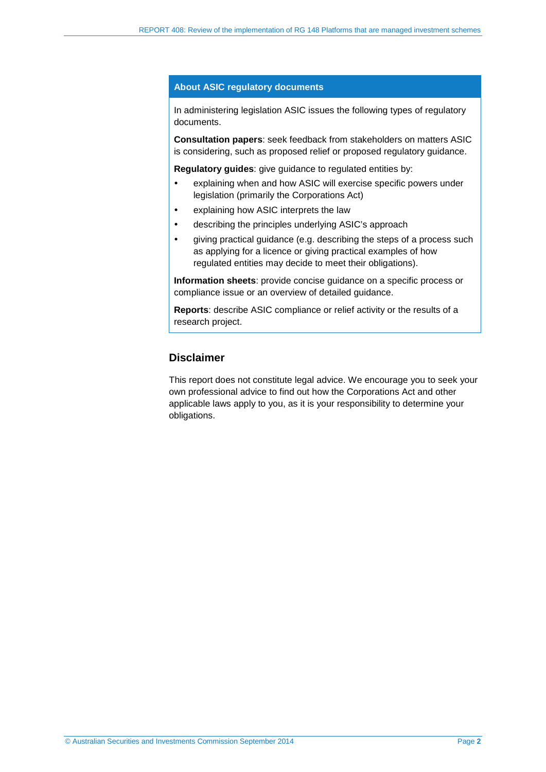#### **About ASIC regulatory documents**

In administering legislation ASIC issues the following types of regulatory documents.

**Consultation papers**: seek feedback from stakeholders on matters ASIC is considering, such as proposed relief or proposed regulatory guidance.

**Regulatory guides**: give guidance to regulated entities by:

- explaining when and how ASIC will exercise specific powers under legislation (primarily the Corporations Act)
- explaining how ASIC interprets the law
- describing the principles underlying ASIC's approach
- giving practical guidance (e.g. describing the steps of a process such as applying for a licence or giving practical examples of how regulated entities may decide to meet their obligations).

**Information sheets**: provide concise guidance on a specific process or compliance issue or an overview of detailed guidance.

**Reports**: describe ASIC compliance or relief activity or the results of a research project.

## **Disclaimer**

This report does not constitute legal advice. We encourage you to seek your own professional advice to find out how the Corporations Act and other applicable laws apply to you, as it is your responsibility to determine your obligations.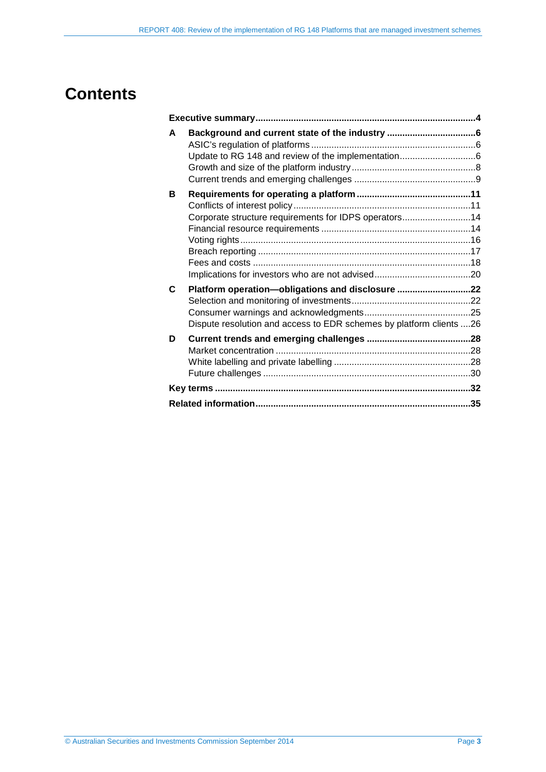## **Contents**

| A |                                                                     |  |
|---|---------------------------------------------------------------------|--|
|   |                                                                     |  |
|   |                                                                     |  |
|   |                                                                     |  |
| в |                                                                     |  |
|   |                                                                     |  |
|   | Corporate structure requirements for IDPS operators14               |  |
|   |                                                                     |  |
|   |                                                                     |  |
|   |                                                                     |  |
|   |                                                                     |  |
|   |                                                                     |  |
| C | Platform operation-obligations and disclosure 22                    |  |
|   |                                                                     |  |
|   |                                                                     |  |
|   | Dispute resolution and access to EDR schemes by platform clients 26 |  |
| D |                                                                     |  |
|   |                                                                     |  |
|   |                                                                     |  |
|   |                                                                     |  |
|   |                                                                     |  |
|   |                                                                     |  |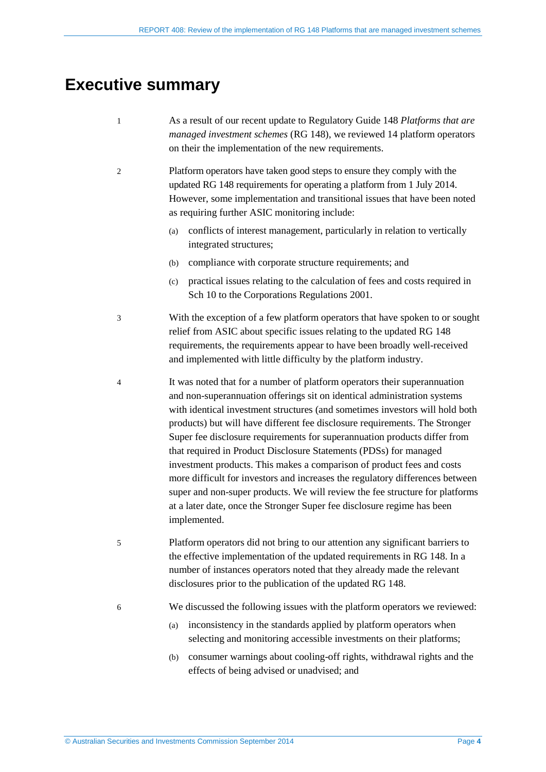## <span id="page-3-0"></span>**Executive summary**

- 1 As a result of our recent update to Regulatory Guide 148 *Platforms that are managed investment schemes* (RG 148), we reviewed 14 platform operators on their the implementation of the new requirements.
- 2 Platform operators have taken good steps to ensure they comply with the updated RG 148 requirements for operating a platform from 1 July 2014. However, some implementation and transitional issues that have been noted as requiring further ASIC monitoring include:
	- (a) conflicts of interest management, particularly in relation to vertically integrated structures;
	- (b) compliance with corporate structure requirements; and
	- (c) practical issues relating to the calculation of fees and costs required in Sch 10 to the Corporations Regulations 2001.
- 3 With the exception of a few platform operators that have spoken to or sought relief from ASIC about specific issues relating to the updated RG 148 requirements, the requirements appear to have been broadly well-received and implemented with little difficulty by the platform industry.
- 4 It was noted that for a number of platform operators their superannuation and non-superannuation offerings sit on identical administration systems with identical investment structures (and sometimes investors will hold both products) but will have different fee disclosure requirements. The Stronger Super fee disclosure requirements for superannuation products differ from that required in Product Disclosure Statements (PDSs) for managed investment products. This makes a comparison of product fees and costs more difficult for investors and increases the regulatory differences between super and non-super products. We will review the fee structure for platforms at a later date, once the Stronger Super fee disclosure regime has been implemented.
- 5 Platform operators did not bring to our attention any significant barriers to the effective implementation of the updated requirements in RG 148. In a number of instances operators noted that they already made the relevant disclosures prior to the publication of the updated RG 148.
- 6 We discussed the following issues with the platform operators we reviewed:
	- (a) inconsistency in the standards applied by platform operators when selecting and monitoring accessible investments on their platforms;
	- (b) consumer warnings about cooling-off rights, withdrawal rights and the effects of being advised or unadvised; and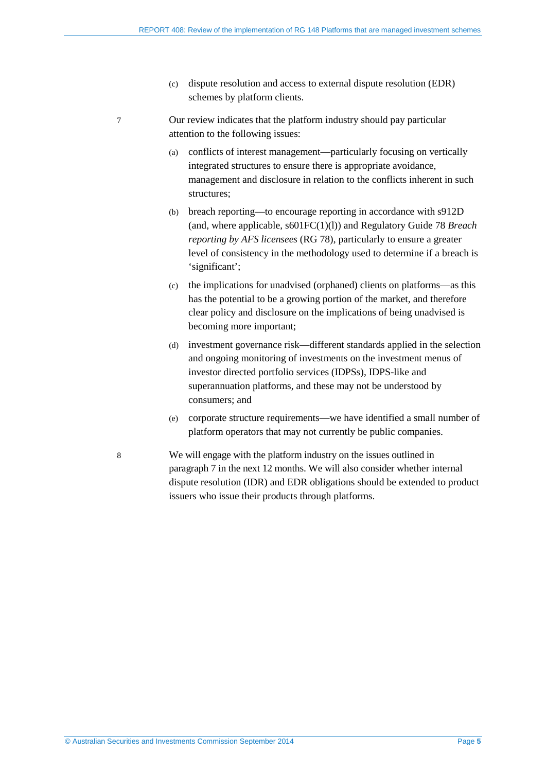- (c) dispute resolution and access to external dispute resolution (EDR) schemes by platform clients.
- <span id="page-4-0"></span>7 Our review indicates that the platform industry should pay particular attention to the following issues:
	- (a) conflicts of interest management—particularly focusing on vertically integrated structures to ensure there is appropriate avoidance, management and disclosure in relation to the conflicts inherent in such structures;
	- (b) breach reporting—to encourage reporting in accordance with s912D (and, where applicable, s601FC(1)(l)) and Regulatory Guide 78 *Breach reporting by AFS licensees* (RG 78), particularly to ensure a greater level of consistency in the methodology used to determine if a breach is 'significant';
	- (c) the implications for unadvised (orphaned) clients on platforms—as this has the potential to be a growing portion of the market, and therefore clear policy and disclosure on the implications of being unadvised is becoming more important;
	- (d) investment governance risk—different standards applied in the selection and ongoing monitoring of investments on the investment menus of investor directed portfolio services (IDPSs), IDPS-like and superannuation platforms, and these may not be understood by consumers; and
	- (e) corporate structure requirements—we have identified a small number of platform operators that may not currently be public companies.
- 8 We will engage with the platform industry on the issues outlined in paragraph [7](#page-4-0) in the next 12 months. We will also consider whether internal dispute resolution (IDR) and EDR obligations should be extended to product issuers who issue their products through platforms.

© Australian Securities and Investments Commission September 2014 Page **5**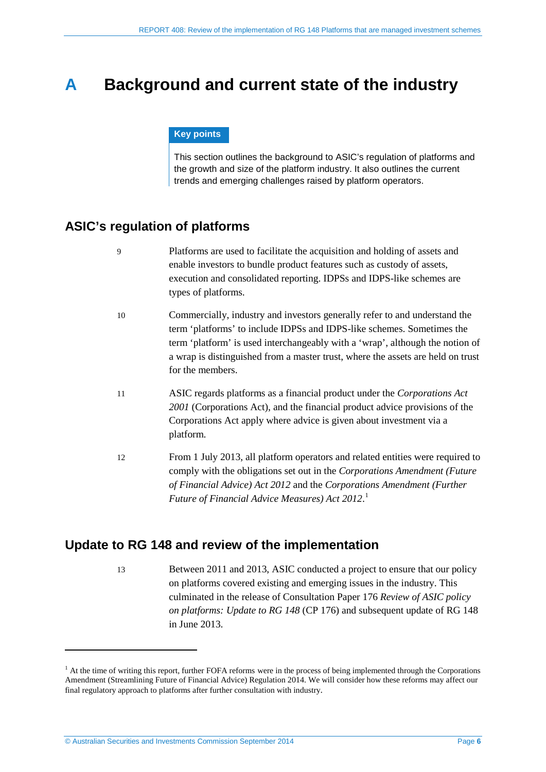## <span id="page-5-0"></span>**A Background and current state of the industry**

#### **Key points**

This section outlines the background to ASIC's regulation of platforms and the growth and size of the platform industry. It also outlines the current trends and emerging challenges raised by platform operators.

## <span id="page-5-1"></span>**ASIC's regulation of platforms**

| 9  | Platforms are used to facilitate the acquisition and holding of assets and<br>enable investors to bundle product features such as custody of assets,<br>execution and consolidated reporting. IDPSs and IDPS-like schemes are<br>types of platforms.                                                                                         |
|----|----------------------------------------------------------------------------------------------------------------------------------------------------------------------------------------------------------------------------------------------------------------------------------------------------------------------------------------------|
| 10 | Commercially, industry and investors generally refer to and understand the<br>term 'platforms' to include IDPSs and IDPS-like schemes. Sometimes the<br>term 'platform' is used interchangeably with a 'wrap', although the notion of<br>a wrap is distinguished from a master trust, where the assets are held on trust<br>for the members. |
| 11 | ASIC regards platforms as a financial product under the Corporations Act<br>2001 (Corporations Act), and the financial product advice provisions of the<br>Corporations Act apply where advice is given about investment via a<br>platform.                                                                                                  |
| 12 | From 1 July 2013, all platform operators and related entities were required to<br>comply with the obligations set out in the Corporations Amendment (Future<br>of Financial Advice) Act 2012 and the Corporations Amendment (Further<br>Future of Financial Advice Measures) Act 2012.                                                       |

## <span id="page-5-2"></span>**Update to RG 148 and review of the implementation**

13 Between 2011 and 2013, ASIC conducted a project to ensure that our policy on platforms covered existing and emerging issues in the industry. This culminated in the release of Consultation Paper 176 *Review of ASIC policy on platforms: Update to RG 148* (CP 176) and subsequent update of RG 148 in June 2013.

<u>.</u>

<span id="page-5-3"></span> $<sup>1</sup>$  At the time of writing this report, further FOFA reforms were in the process of being implemented through the Corporations</sup> Amendment (Streamlining Future of Financial Advice) Regulation 2014. We will consider how these reforms may affect our final regulatory approach to platforms after further consultation with industry.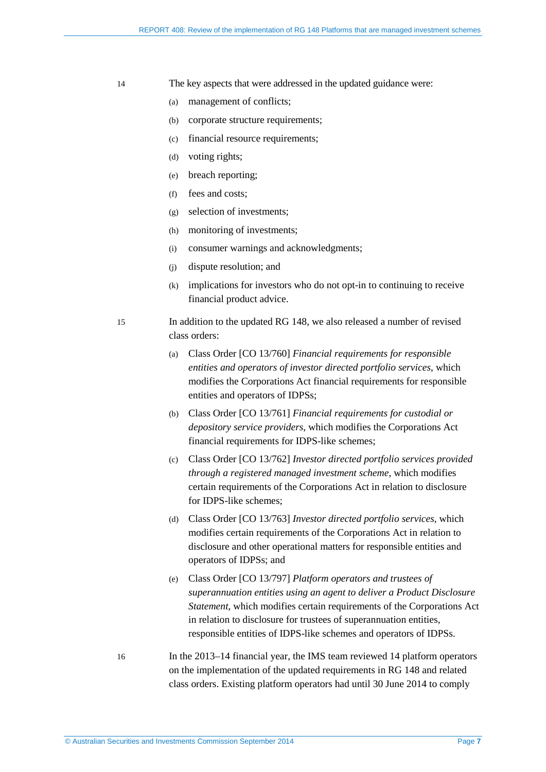- 14 The key aspects that were addressed in the updated guidance were:
	- (a) management of conflicts;
	- (b) corporate structure requirements;
	- (c) financial resource requirements;
	- (d) voting rights;
	- (e) breach reporting;
	- (f) fees and costs;
	- (g) selection of investments;
	- (h) monitoring of investments;
	- (i) consumer warnings and acknowledgments;
	- (j) dispute resolution; and
	- (k) implications for investors who do not opt-in to continuing to receive financial product advice.
- 15 In addition to the updated RG 148, we also released a number of revised class orders:
	- (a) Class Order [CO 13/760] *Financial requirements for responsible entities and operators of investor directed portfolio services*, which modifies the Corporations Act financial requirements for responsible entities and operators of IDPSs;
	- (b) Class Order [CO 13/761] *Financial requirements for custodial or depository service providers*, which modifies the Corporations Act financial requirements for IDPS-like schemes;
	- (c) Class Order [CO 13/762] *Investor directed portfolio services provided through a registered managed investment scheme*, which modifies certain requirements of the Corporations Act in relation to disclosure for IDPS-like schemes;
	- (d) Class Order [CO 13/763] *Investor directed portfolio services*, which modifies certain requirements of the Corporations Act in relation to disclosure and other operational matters for responsible entities and operators of IDPSs; and
	- (e) Class Order [CO 13/797] *Platform operators and trustees of superannuation entities using an agent to deliver a Product Disclosure Statement*, which modifies certain requirements of the Corporations Act in relation to disclosure for trustees of superannuation entities, responsible entities of IDPS-like schemes and operators of IDPSs.
- 16 In the 2013–14 financial year, the IMS team reviewed 14 platform operators on the implementation of the updated requirements in RG 148 and related class orders. Existing platform operators had until 30 June 2014 to comply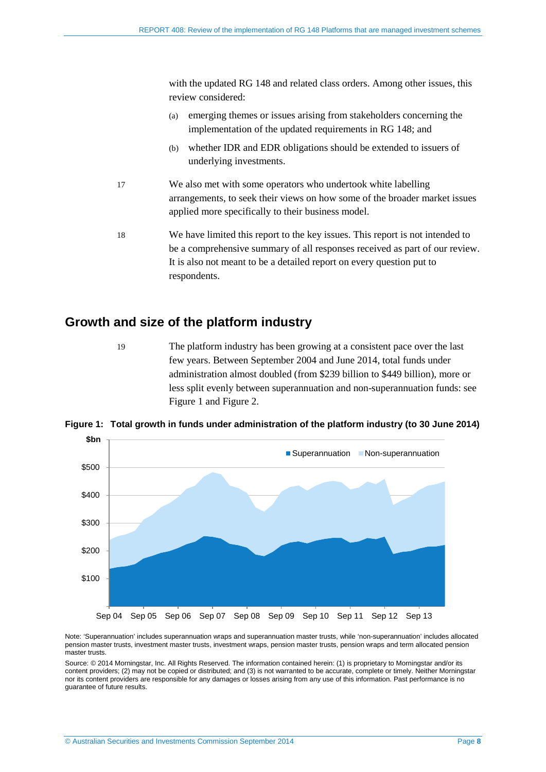with the updated RG 148 and related class orders. Among other issues, this review considered:

- (a) emerging themes or issues arising from stakeholders concerning the implementation of the updated requirements in RG 148; and
- (b) whether IDR and EDR obligations should be extended to issuers of underlying investments.
- 17 We also met with some operators who undertook white labelling arrangements, to seek their views on how some of the broader market issues applied more specifically to their business model.
- 18 We have limited this report to the key issues. This report is not intended to be a comprehensive summary of all responses received as part of our review. It is also not meant to be a detailed report on every question put to respondents.

## <span id="page-7-0"></span>**Growth and size of the platform industry**

19 The platform industry has been growing at a consistent pace over the last few years. Between September 2004 and June 2014, total funds under administration almost doubled (from \$239 billion to \$449 billion), more or less split evenly between superannuation and non-superannuation funds: see [Figure 1](#page-7-1) and [Figure 2.](#page-8-1)

<span id="page-7-1"></span>**Figure 1: Total growth in funds under administration of the platform industry (to 30 June 2014)**



Note: 'Superannuation' includes superannuation wraps and superannuation master trusts, while 'non-superannuation' includes allocated pension master trusts, investment master trusts, investment wraps, pension master trusts, pension wraps and term allocated pension master trusts.

Source: © 2014 Morningstar, Inc. All Rights Reserved. The information contained herein: (1) is proprietary to Morningstar and/or its content providers; (2) may not be copied or distributed; and (3) is not warranted to be accurate, complete or timely. Neither Morningstar nor its content providers are responsible for any damages or losses arising from any use of this information. Past performance is no guarantee of future results.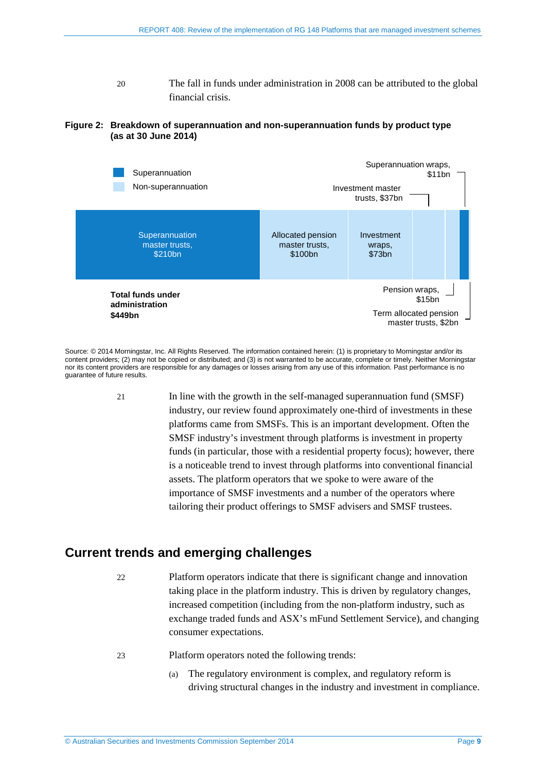20 The fall in funds under administration in 2008 can be attributed to the global financial crisis.

#### <span id="page-8-1"></span>**Figure 2: Breakdown of superannuation and non-superannuation funds by product type (as at 30 June 2014)**



Source: © 2014 Morningstar, Inc. All Rights Reserved. The information contained herein: (1) is proprietary to Morningstar and/or its content providers; (2) may not be copied or distributed; and (3) is not warranted to be accurate, complete or timely. Neither Morningstar nor its content providers are responsible for any damages or losses arising from any use of this information. Past performance is no guarantee of future results.

21 In line with the growth in the self-managed superannuation fund (SMSF) industry, our review found approximately one-third of investments in these platforms came from SMSFs. This is an important development. Often the SMSF industry's investment through platforms is investment in property funds (in particular, those with a residential property focus); however, there is a noticeable trend to invest through platforms into conventional financial assets. The platform operators that we spoke to were aware of the importance of SMSF investments and a number of the operators where tailoring their product offerings to SMSF advisers and SMSF trustees.

## <span id="page-8-0"></span>**Current trends and emerging challenges**

- 22 Platform operators indicate that there is significant change and innovation taking place in the platform industry. This is driven by regulatory changes, increased competition (including from the non-platform industry, such as exchange traded funds and ASX's mFund Settlement Service), and changing consumer expectations.
- 23 Platform operators noted the following trends:
	- (a) The regulatory environment is complex, and regulatory reform is driving structural changes in the industry and investment in compliance.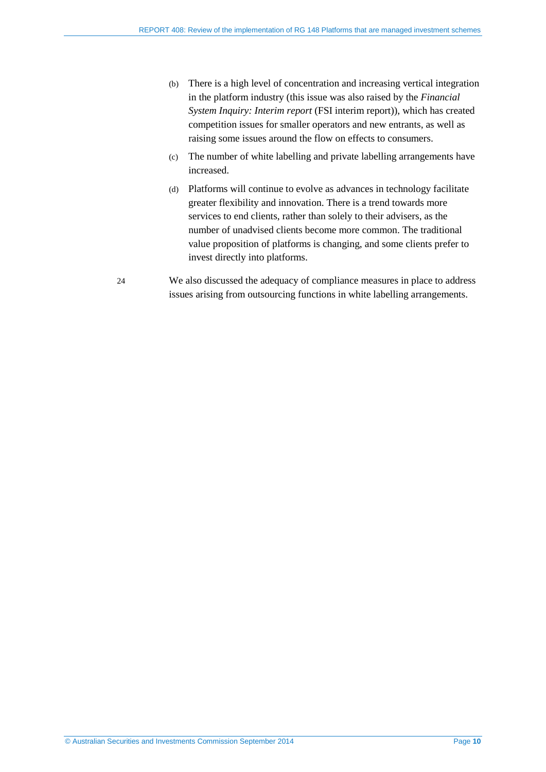- (b) There is a high level of concentration and increasing vertical integration in the platform industry (this issue was also raised by the *Financial System Inquiry: Interim report* (FSI interim report)), which has created competition issues for smaller operators and new entrants, as well as raising some issues around the flow on effects to consumers.
- (c) The number of white labelling and private labelling arrangements have increased.
- (d) Platforms will continue to evolve as advances in technology facilitate greater flexibility and innovation. There is a trend towards more services to end clients, rather than solely to their advisers, as the number of unadvised clients become more common. The traditional value proposition of platforms is changing, and some clients prefer to invest directly into platforms.
- 24 We also discussed the adequacy of compliance measures in place to address issues arising from outsourcing functions in white labelling arrangements.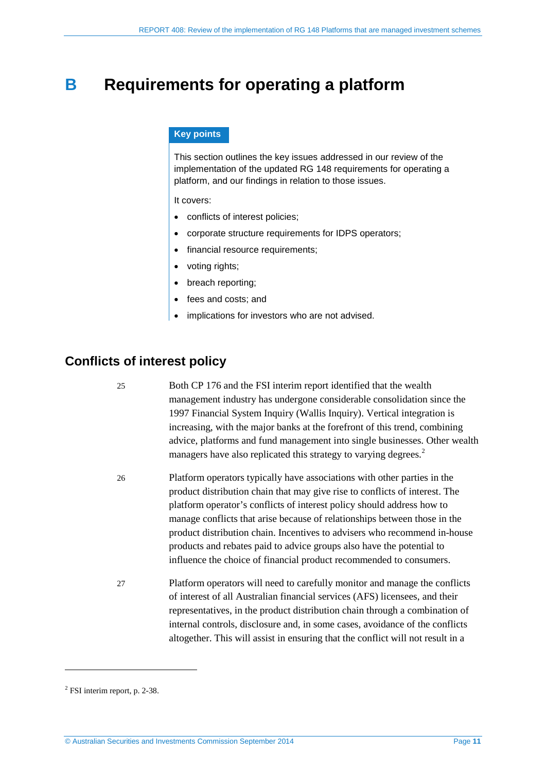## <span id="page-10-0"></span>**B Requirements for operating a platform**

#### **Key points**

This section outlines the key issues addressed in our review of the implementation of the updated RG 148 requirements for operating a platform, and our findings in relation to those issues.

It covers:

- conflicts of interest policies;
- corporate structure requirements for IDPS operators;
- financial resource requirements;
- voting rights;
- breach reporting;
- fees and costs; and
- implications for investors who are not advised.

## <span id="page-10-1"></span>**Conflicts of interest policy**

25 Both CP 176 and the FSI interim report identified that the wealth management industry has undergone considerable consolidation since the 1997 Financial System Inquiry (Wallis Inquiry). Vertical integration is increasing, with the major banks at the forefront of this trend, combining advice, platforms and fund management into single businesses. Other wealth managers have also replicated this strategy to varying degrees.<sup>[2](#page-10-2)</sup>

26 Platform operators typically have associations with other parties in the product distribution chain that may give rise to conflicts of interest. The platform operator's conflicts of interest policy should address how to manage conflicts that arise because of relationships between those in the product distribution chain. Incentives to advisers who recommend in-house products and rebates paid to advice groups also have the potential to influence the choice of financial product recommended to consumers.

27 Platform operators will need to carefully monitor and manage the conflicts of interest of all Australian financial services (AFS) licensees, and their representatives, in the product distribution chain through a combination of internal controls, disclosure and, in some cases, avoidance of the conflicts altogether. This will assist in ensuring that the conflict will not result in a

-

<span id="page-10-2"></span><sup>2</sup> FSI interim report, p. 2-38.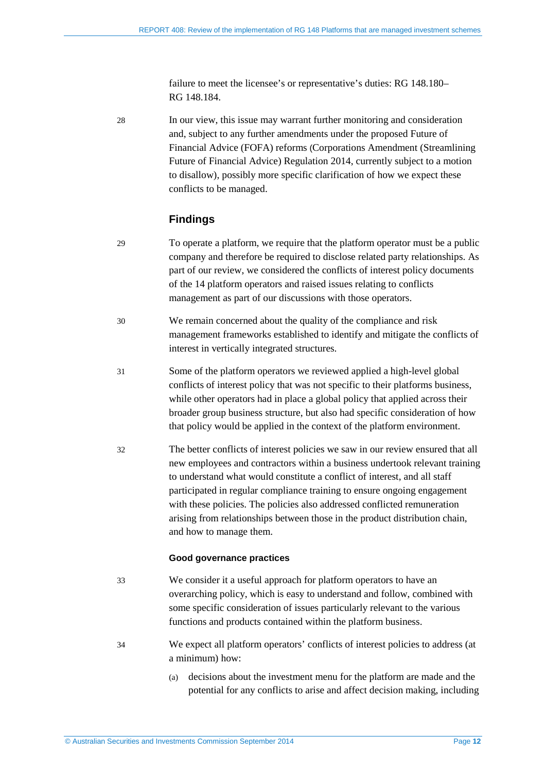failure to meet the licensee's or representative's duties: RG 148.180– RG 148.184.

28 In our view, this issue may warrant further monitoring and consideration and, subject to any further amendments under the proposed Future of Financial Advice (FOFA) reforms (Corporations Amendment (Streamlining Future of Financial Advice) Regulation 2014, currently subject to a motion to disallow), possibly more specific clarification of how we expect these conflicts to be managed.

### **Findings**

- 29 To operate a platform, we require that the platform operator must be a public company and therefore be required to disclose related party relationships. As part of our review, we considered the conflicts of interest policy documents of the 14 platform operators and raised issues relating to conflicts management as part of our discussions with those operators.
- 30 We remain concerned about the quality of the compliance and risk management frameworks established to identify and mitigate the conflicts of interest in vertically integrated structures.
- 31 Some of the platform operators we reviewed applied a high-level global conflicts of interest policy that was not specific to their platforms business, while other operators had in place a global policy that applied across their broader group business structure, but also had specific consideration of how that policy would be applied in the context of the platform environment.
- 32 The better conflicts of interest policies we saw in our review ensured that all new employees and contractors within a business undertook relevant training to understand what would constitute a conflict of interest, and all staff participated in regular compliance training to ensure ongoing engagement with these policies. The policies also addressed conflicted remuneration arising from relationships between those in the product distribution chain, and how to manage them.

#### **Good governance practices**

- 33 We consider it a useful approach for platform operators to have an overarching policy, which is easy to understand and follow, combined with some specific consideration of issues particularly relevant to the various functions and products contained within the platform business.
- 34 We expect all platform operators' conflicts of interest policies to address (at a minimum) how:
	- (a) decisions about the investment menu for the platform are made and the potential for any conflicts to arise and affect decision making, including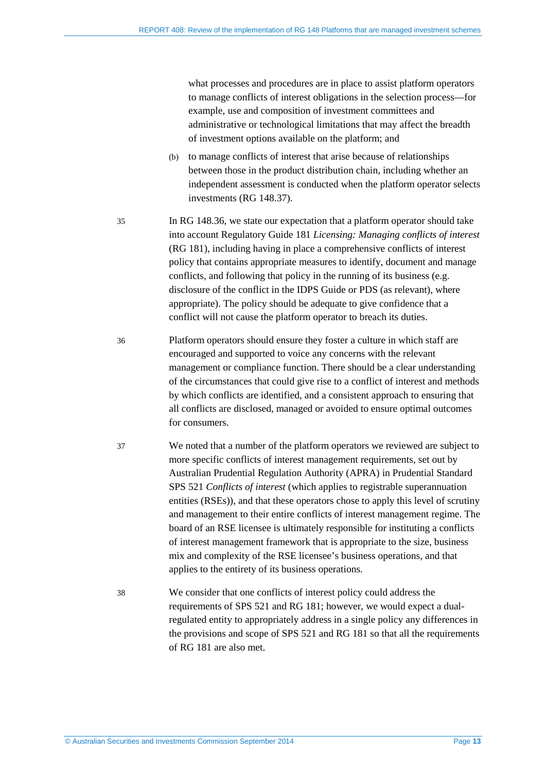what processes and procedures are in place to assist platform operators to manage conflicts of interest obligations in the selection process––for example, use and composition of investment committees and administrative or technological limitations that may affect the breadth of investment options available on the platform; and

- (b) to manage conflicts of interest that arise because of relationships between those in the product distribution chain, including whether an independent assessment is conducted when the platform operator selects investments (RG 148.37).
- 35 In RG 148.36, we state our expectation that a platform operator should take into account Regulatory Guide 181 *Licensing: Managing conflicts of interest* (RG 181), including having in place a comprehensive conflicts of interest policy that contains appropriate measures to identify, document and manage conflicts, and following that policy in the running of its business (e.g. disclosure of the conflict in the IDPS Guide or PDS (as relevant), where appropriate). The policy should be adequate to give confidence that a conflict will not cause the platform operator to breach its duties.
- 36 Platform operators should ensure they foster a culture in which staff are encouraged and supported to voice any concerns with the relevant management or compliance function. There should be a clear understanding of the circumstances that could give rise to a conflict of interest and methods by which conflicts are identified, and a consistent approach to ensuring that all conflicts are disclosed, managed or avoided to ensure optimal outcomes for consumers.
- 37 We noted that a number of the platform operators we reviewed are subject to more specific conflicts of interest management requirements, set out by Australian Prudential Regulation Authority (APRA) in Prudential Standard SPS 521 *Conflicts of interest* (which applies to registrable superannuation entities (RSEs)), and that these operators chose to apply this level of scrutiny and management to their entire conflicts of interest management regime. The board of an RSE licensee is ultimately responsible for instituting a conflicts of interest management framework that is appropriate to the size, business mix and complexity of the RSE licensee's business operations, and that applies to the entirety of its business operations.
- 38 We consider that one conflicts of interest policy could address the requirements of SPS 521 and RG 181; however, we would expect a dualregulated entity to appropriately address in a single policy any differences in the provisions and scope of SPS 521 and RG 181 so that all the requirements of RG 181 are also met.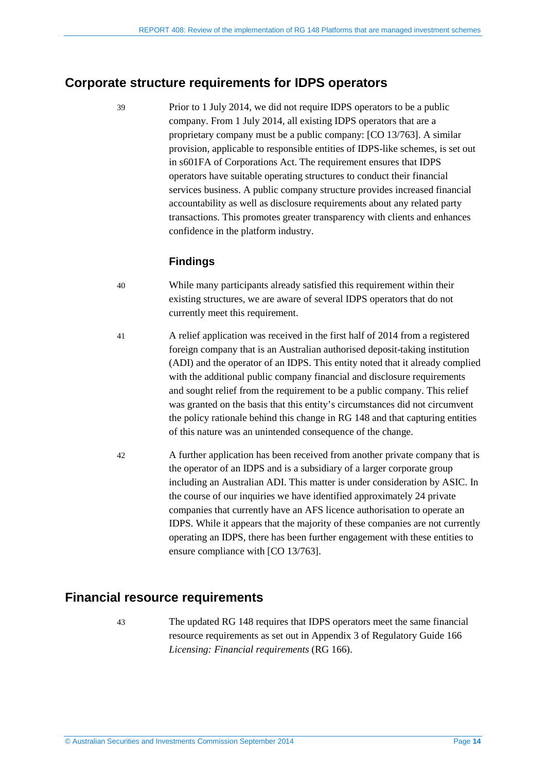## <span id="page-13-0"></span>**Corporate structure requirements for IDPS operators**

39 Prior to 1 July 2014, we did not require IDPS operators to be a public company. From 1 July 2014, all existing IDPS operators that are a proprietary company must be a public company: [CO 13/763]. A similar provision, applicable to responsible entities of IDPS-like schemes, is set out in s601FA of Corporations Act. The requirement ensures that IDPS operators have suitable operating structures to conduct their financial services business. A public company structure provides increased financial accountability as well as disclosure requirements about any related party transactions. This promotes greater transparency with clients and enhances confidence in the platform industry.

## **Findings**

- 40 While many participants already satisfied this requirement within their existing structures, we are aware of several IDPS operators that do not currently meet this requirement.
- 41 A relief application was received in the first half of 2014 from a registered foreign company that is an Australian authorised deposit-taking institution (ADI) and the operator of an IDPS. This entity noted that it already complied with the additional public company financial and disclosure requirements and sought relief from the requirement to be a public company. This relief was granted on the basis that this entity's circumstances did not circumvent the policy rationale behind this change in RG 148 and that capturing entities of this nature was an unintended consequence of the change.
- 42 A further application has been received from another private company that is the operator of an IDPS and is a subsidiary of a larger corporate group including an Australian ADI. This matter is under consideration by ASIC. In the course of our inquiries we have identified approximately 24 private companies that currently have an AFS licence authorisation to operate an IDPS. While it appears that the majority of these companies are not currently operating an IDPS, there has been further engagement with these entities to ensure compliance with [CO 13/763].

## <span id="page-13-1"></span>**Financial resource requirements**

43 The updated RG 148 requires that IDPS operators meet the same financial resource requirements as set out in Appendix 3 of Regulatory Guide 166 *Licensing: Financial requirements* (RG 166).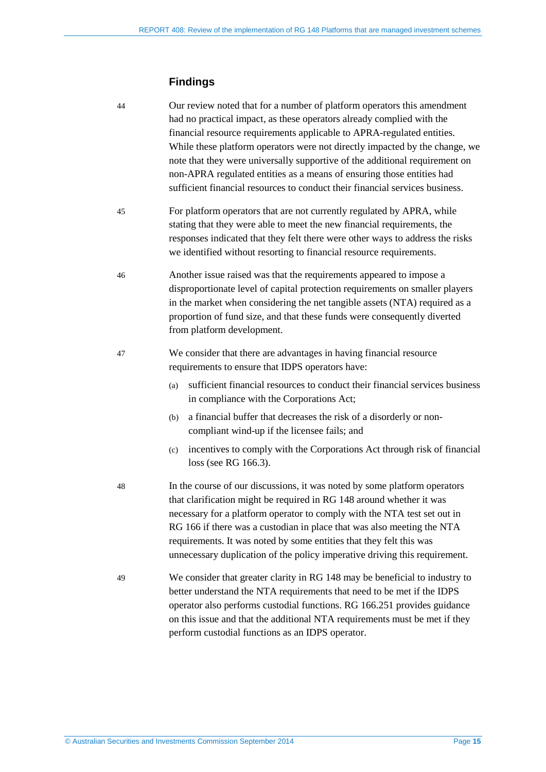## **Findings**

| 44 | Our review noted that for a number of platform operators this amendment<br>had no practical impact, as these operators already complied with the<br>financial resource requirements applicable to APRA-regulated entities.<br>While these platform operators were not directly impacted by the change, we<br>note that they were universally supportive of the additional requirement on<br>non-APRA regulated entities as a means of ensuring those entities had<br>sufficient financial resources to conduct their financial services business. |  |
|----|---------------------------------------------------------------------------------------------------------------------------------------------------------------------------------------------------------------------------------------------------------------------------------------------------------------------------------------------------------------------------------------------------------------------------------------------------------------------------------------------------------------------------------------------------|--|
| 45 | For platform operators that are not currently regulated by APRA, while<br>stating that they were able to meet the new financial requirements, the<br>responses indicated that they felt there were other ways to address the risks<br>we identified without resorting to financial resource requirements.                                                                                                                                                                                                                                         |  |
| 46 | Another issue raised was that the requirements appeared to impose a<br>disproportionate level of capital protection requirements on smaller players<br>in the market when considering the net tangible assets (NTA) required as a<br>proportion of fund size, and that these funds were consequently diverted<br>from platform development.                                                                                                                                                                                                       |  |
| 47 | We consider that there are advantages in having financial resource<br>requirements to ensure that IDPS operators have:<br>sufficient financial resources to conduct their financial services business<br>(a)<br>in compliance with the Corporations Act;<br>a financial buffer that decreases the risk of a disorderly or non-<br>(b)<br>compliant wind-up if the licensee fails; and<br>incentives to comply with the Corporations Act through risk of financial<br>(c)<br>loss (see RG 166.3).                                                  |  |
| 48 | In the course of our discussions, it was noted by some platform operators<br>that clarification might be required in RG 148 around whether it was<br>necessary for a platform operator to comply with the NTA test set out in<br>RG 166 if there was a custodian in place that was also meeting the NTA<br>requirements. It was noted by some entities that they felt this was<br>unnecessary duplication of the policy imperative driving this requirement.                                                                                      |  |
| 49 | We consider that greater clarity in RG 148 may be beneficial to industry to<br>better understand the NTA requirements that need to be met if the IDPS<br>operator also performs custodial functions. RG 166.251 provides guidance<br>on this issue and that the additional NTA requirements must be met if they<br>perform custodial functions as an IDPS operator.                                                                                                                                                                               |  |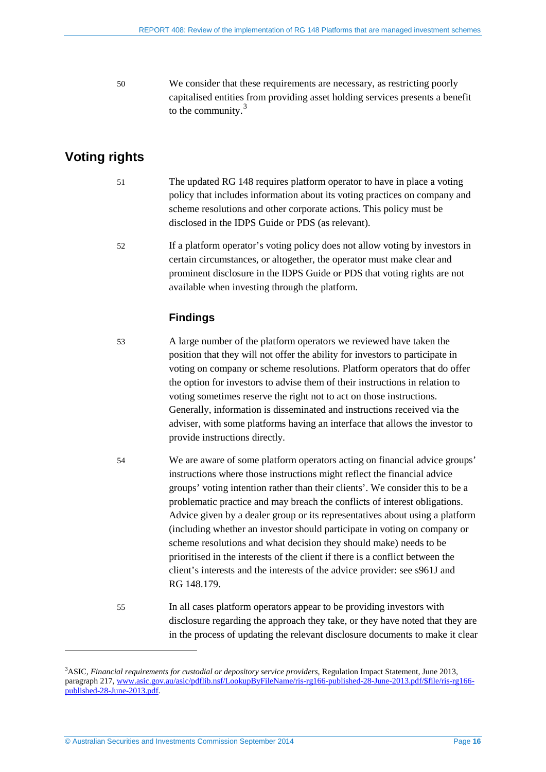50 We consider that these requirements are necessary, as restricting poorly capitalised entities from providing asset holding services presents a benefit to the community.<sup>[3](#page-15-1)</sup>

## <span id="page-15-0"></span>**Voting rights**

- 51 The updated RG 148 requires platform operator to have in place a voting policy that includes information about its voting practices on company and scheme resolutions and other corporate actions. This policy must be disclosed in the IDPS Guide or PDS (as relevant).
- 52 If a platform operator's voting policy does not allow voting by investors in certain circumstances, or altogether, the operator must make clear and prominent disclosure in the IDPS Guide or PDS that voting rights are not available when investing through the platform.

## **Findings**

- 53 A large number of the platform operators we reviewed have taken the position that they will not offer the ability for investors to participate in voting on company or scheme resolutions. Platform operators that do offer the option for investors to advise them of their instructions in relation to voting sometimes reserve the right not to act on those instructions. Generally, information is disseminated and instructions received via the adviser, with some platforms having an interface that allows the investor to provide instructions directly.
- 54 We are aware of some platform operators acting on financial advice groups' instructions where those instructions might reflect the financial advice groups' voting intention rather than their clients'. We consider this to be a problematic practice and may breach the conflicts of interest obligations. Advice given by a dealer group or its representatives about using a platform (including whether an investor should participate in voting on company or scheme resolutions and what decision they should make) needs to be prioritised in the interests of the client if there is a conflict between the client's interests and the interests of the advice provider: see s961J and RG 148.179.
- 55 In all cases platform operators appear to be providing investors with disclosure regarding the approach they take, or they have noted that they are in the process of updating the relevant disclosure documents to make it clear

<u>.</u>

<span id="page-15-1"></span><sup>3</sup> ASIC, *Financial requirements for custodial or depository service providers*, Regulation Impact Statement, June 2013, paragraph 217[, www.asic.gov.au/asic/pdflib.nsf/LookupByFileName/ris-rg166-published-28-June-2013.pdf/\\$file/ris-rg166](http://www.asic.gov.au/asic/pdflib.nsf/LookupByFileName/ris-rg166-published-28-June-2013.pdf/$file/ris-rg166-published-28-June-2013.pdf) [published-28-June-2013.pdf.](http://www.asic.gov.au/asic/pdflib.nsf/LookupByFileName/ris-rg166-published-28-June-2013.pdf/$file/ris-rg166-published-28-June-2013.pdf)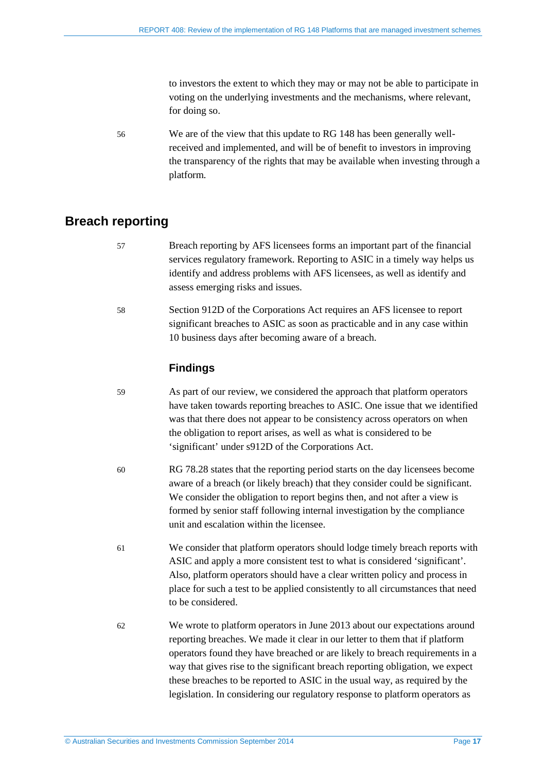to investors the extent to which they may or may not be able to participate in voting on the underlying investments and the mechanisms, where relevant, for doing so.

56 We are of the view that this update to RG 148 has been generally wellreceived and implemented, and will be of benefit to investors in improving the transparency of the rights that may be available when investing through a platform.

## <span id="page-16-0"></span>**Breach reporting**

- 57 Breach reporting by AFS licensees forms an important part of the financial services regulatory framework. Reporting to ASIC in a timely way helps us identify and address problems with AFS licensees, as well as identify and assess emerging risks and issues.
- 58 Section 912D of the Corporations Act requires an AFS licensee to report significant breaches to ASIC as soon as practicable and in any case within 10 business days after becoming aware of a breach.

#### **Findings**

- 59 As part of our review, we considered the approach that platform operators have taken towards reporting breaches to ASIC. One issue that we identified was that there does not appear to be consistency across operators on when the obligation to report arises, as well as what is considered to be 'significant' under s912D of the Corporations Act.
- 60 RG 78.28 states that the reporting period starts on the day licensees become aware of a breach (or likely breach) that they consider could be significant. We consider the obligation to report begins then, and not after a view is formed by senior staff following internal investigation by the compliance unit and escalation within the licensee.
- 61 We consider that platform operators should lodge timely breach reports with ASIC and apply a more consistent test to what is considered 'significant'. Also, platform operators should have a clear written policy and process in place for such a test to be applied consistently to all circumstances that need to be considered.
- 62 We wrote to platform operators in June 2013 about our expectations around reporting breaches. We made it clear in our letter to them that if platform operators found they have breached or are likely to breach requirements in a way that gives rise to the significant breach reporting obligation, we expect these breaches to be reported to ASIC in the usual way, as required by the legislation. In considering our regulatory response to platform operators as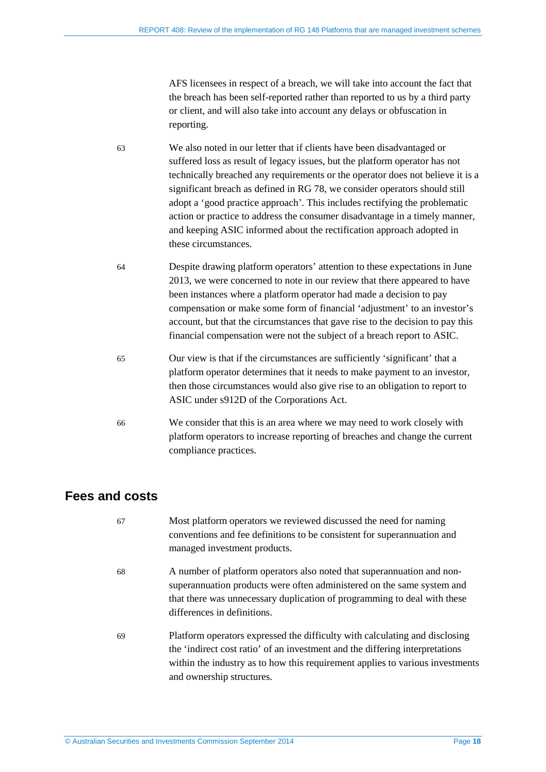AFS licensees in respect of a breach, we will take into account the fact that the breach has been self-reported rather than reported to us by a third party or client, and will also take into account any delays or obfuscation in reporting.

- 63 We also noted in our letter that if clients have been disadvantaged or suffered loss as result of legacy issues, but the platform operator has not technically breached any requirements or the operator does not believe it is a significant breach as defined in RG 78, we consider operators should still adopt a 'good practice approach'. This includes rectifying the problematic action or practice to address the consumer disadvantage in a timely manner, and keeping ASIC informed about the rectification approach adopted in these circumstances.
- 64 Despite drawing platform operators' attention to these expectations in June 2013, we were concerned to note in our review that there appeared to have been instances where a platform operator had made a decision to pay compensation or make some form of financial 'adjustment' to an investor's account, but that the circumstances that gave rise to the decision to pay this financial compensation were not the subject of a breach report to ASIC.
- 65 Our view is that if the circumstances are sufficiently 'significant' that a platform operator determines that it needs to make payment to an investor, then those circumstances would also give rise to an obligation to report to ASIC under s912D of the Corporations Act.
- 66 We consider that this is an area where we may need to work closely with platform operators to increase reporting of breaches and change the current compliance practices.

## <span id="page-17-0"></span>**Fees and costs**

67 Most platform operators we reviewed discussed the need for naming conventions and fee definitions to be consistent for superannuation and managed investment products. 68 A number of platform operators also noted that superannuation and nonsuperannuation products were often administered on the same system and that there was unnecessary duplication of programming to deal with these differences in definitions. 69 Platform operators expressed the difficulty with calculating and disclosing the 'indirect cost ratio' of an investment and the differing interpretations within the industry as to how this requirement applies to various investments and ownership structures.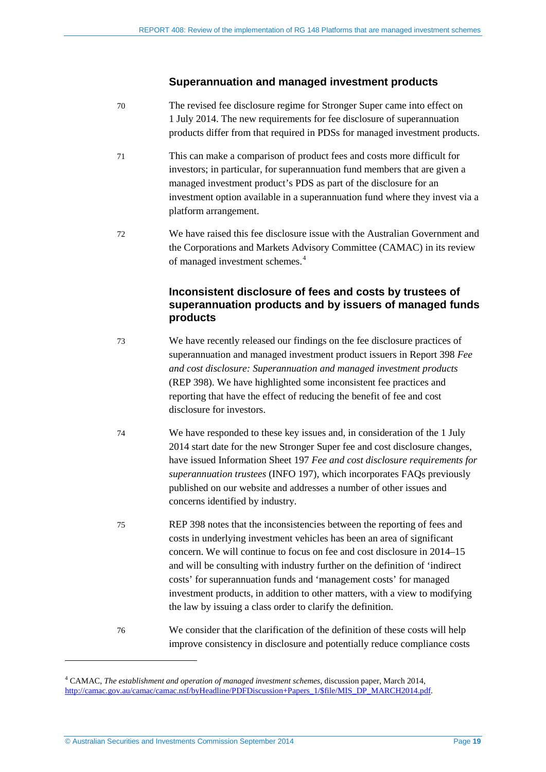#### **Superannuation and managed investment products**

- 70 The revised fee disclosure regime for Stronger Super came into effect on 1 July 2014. The new requirements for fee disclosure of superannuation products differ from that required in PDSs for managed investment products.
- 71 This can make a comparison of product fees and costs more difficult for investors; in particular, for superannuation fund members that are given a managed investment product's PDS as part of the disclosure for an investment option available in a superannuation fund where they invest via a platform arrangement.
- 72 We have raised this fee disclosure issue with the Australian Government and the Corporations and Markets Advisory Committee (CAMAC) in its review of managed investment schemes. [4](#page-18-0)

### **Inconsistent disclosure of fees and costs by trustees of superannuation products and by issuers of managed funds products**

- 73 We have recently released our findings on the fee disclosure practices of superannuation and managed investment product issuers in Report 398 *Fee and cost disclosure: Superannuation and managed investment products* (REP 398). We have highlighted some inconsistent fee practices and reporting that have the effect of reducing the benefit of fee and cost disclosure for investors.
- 74 We have responded to these key issues and, in consideration of the 1 July 2014 start date for the new Stronger Super fee and cost disclosure changes, have issued Information Sheet 197 *Fee and cost disclosure requirements for superannuation trustees* (INFO 197), which incorporates FAQs previously published on our website and addresses a number of other issues and concerns identified by industry.
- 75 REP 398 notes that the inconsistencies between the reporting of fees and costs in underlying investment vehicles has been an area of significant concern. We will continue to focus on fee and cost disclosure in 2014–15 and will be consulting with industry further on the definition of 'indirect costs' for superannuation funds and 'management costs' for managed investment products, in addition to other matters, with a view to modifying the law by issuing a class order to clarify the definition.
- 76 We consider that the clarification of the definition of these costs will help improve consistency in disclosure and potentially reduce compliance costs

<u>.</u>

<span id="page-18-0"></span><sup>4</sup> CAMAC, *The establishment and operation of managed investment schemes*, discussion paper, March 2014, [http://camac.gov.au/camac/camac.nsf/byHeadline/PDFDiscussion+Papers\\_1/\\$file/MIS\\_DP\\_MARCH2014.pdf.](http://camac.gov.au/camac/camac.nsf/byHeadline/PDFDiscussion+Papers_1/$file/MIS_DP_MARCH2014.pdf)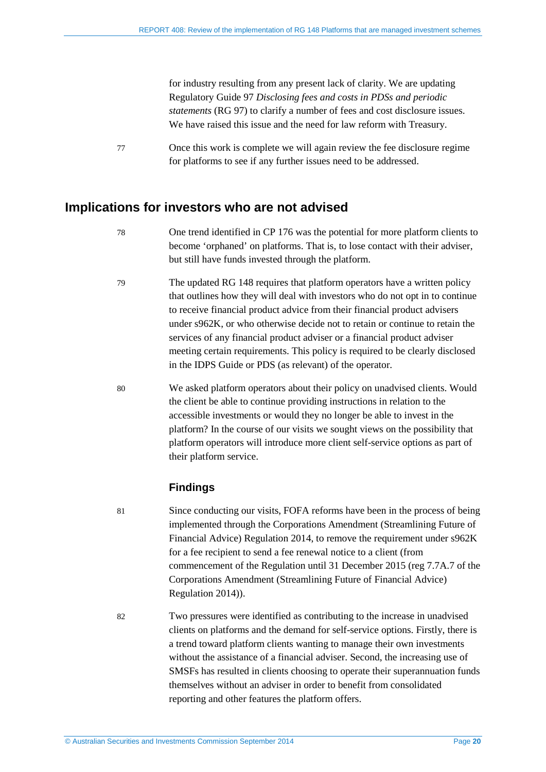for industry resulting from any present lack of clarity. We are updating Regulatory Guide 97 *Disclosing fees and costs in PDSs and periodic statements* (RG 97) to clarify a number of fees and cost disclosure issues. We have raised this issue and the need for law reform with Treasury.

77 Once this work is complete we will again review the fee disclosure regime for platforms to see if any further issues need to be addressed.

## <span id="page-19-1"></span><span id="page-19-0"></span>**Implications for investors who are not advised**

- 78 One trend identified in CP 176 was the potential for more platform clients to become 'orphaned' on platforms. That is, to lose contact with their adviser, but still have funds invested through the platform.
- 79 The updated RG 148 requires that platform operators have a written policy that outlines how they will deal with investors who do not opt in to continue to receive financial product advice from their financial product advisers under s962K, or who otherwise decide not to retain or continue to retain the services of any financial product adviser or a financial product adviser meeting certain requirements. This policy is required to be clearly disclosed in the IDPS Guide or PDS (as relevant) of the operator.
- 80 We asked platform operators about their policy on unadvised clients. Would the client be able to continue providing instructions in relation to the accessible investments or would they no longer be able to invest in the platform? In the course of our visits we sought views on the possibility that platform operators will introduce more client self-service options as part of their platform service.

### **Findings**

- 81 Since conducting our visits, FOFA reforms have been in the process of being implemented through the Corporations Amendment (Streamlining Future of Financial Advice) Regulation 2014, to remove the requirement under s962K for a fee recipient to send a fee renewal notice to a client (from commencement of the Regulation until 31 December 2015 (reg 7.7A.7 of the Corporations Amendment (Streamlining Future of Financial Advice) Regulation 2014)).
- 82 Two pressures were identified as contributing to the increase in unadvised clients on platforms and the demand for self-service options. Firstly, there is a trend toward platform clients wanting to manage their own investments without the assistance of a financial adviser. Second, the increasing use of SMSFs has resulted in clients choosing to operate their superannuation funds themselves without an adviser in order to benefit from consolidated reporting and other features the platform offers.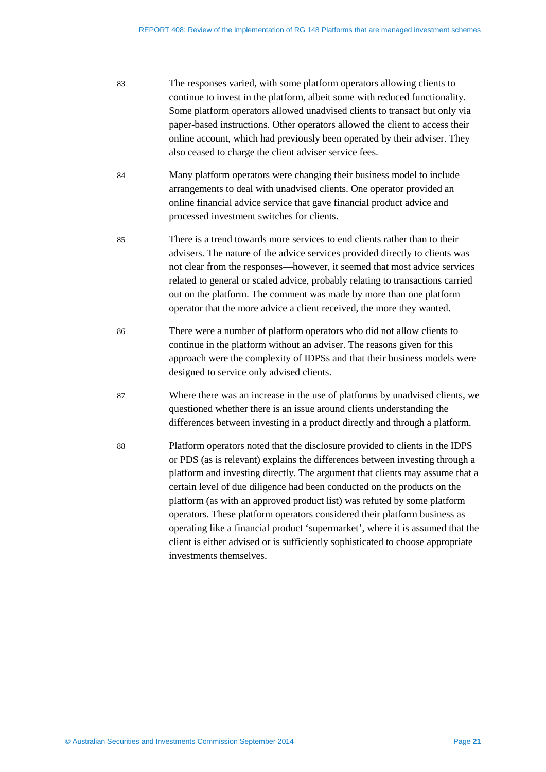- 83 The responses varied, with some platform operators allowing clients to continue to invest in the platform, albeit some with reduced functionality. Some platform operators allowed unadvised clients to transact but only via paper-based instructions. Other operators allowed the client to access their online account, which had previously been operated by their adviser. They also ceased to charge the client adviser service fees.
- 84 Many platform operators were changing their business model to include arrangements to deal with unadvised clients. One operator provided an online financial advice service that gave financial product advice and processed investment switches for clients.
- 85 There is a trend towards more services to end clients rather than to their advisers. The nature of the advice services provided directly to clients was not clear from the responses—however, it seemed that most advice services related to general or scaled advice, probably relating to transactions carried out on the platform. The comment was made by more than one platform operator that the more advice a client received, the more they wanted.
- 86 There were a number of platform operators who did not allow clients to continue in the platform without an adviser. The reasons given for this approach were the complexity of IDPSs and that their business models were designed to service only advised clients.
- 87 Where there was an increase in the use of platforms by unadvised clients, we questioned whether there is an issue around clients understanding the differences between investing in a product directly and through a platform.
- <span id="page-20-0"></span>88 Platform operators noted that the disclosure provided to clients in the IDPS or PDS (as is relevant) explains the differences between investing through a platform and investing directly. The argument that clients may assume that a certain level of due diligence had been conducted on the products on the platform (as with an approved product list) was refuted by some platform operators. These platform operators considered their platform business as operating like a financial product 'supermarket', where it is assumed that the client is either advised or is sufficiently sophisticated to choose appropriate investments themselves.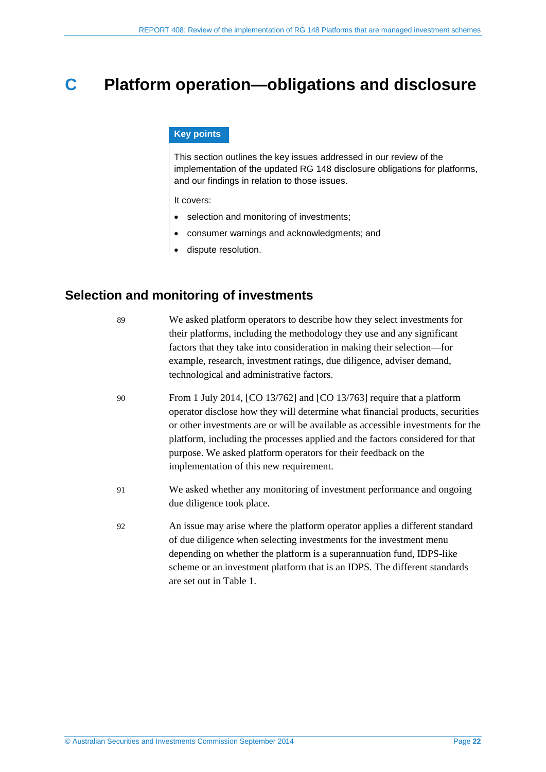## <span id="page-21-0"></span>**C Platform operation—obligations and disclosure**

#### **Key points**

This section outlines the key issues addressed in our review of the implementation of the updated RG 148 disclosure obligations for platforms, and our findings in relation to those issues.

It covers:

- selection and monitoring of investments;
- consumer warnings and acknowledgments; and
- dispute resolution.

## <span id="page-21-1"></span>**Selection and monitoring of investments**

89 We asked platform operators to describe how they select investments for their platforms, including the methodology they use and any significant factors that they take into consideration in making their selection—for example, research, investment ratings, due diligence, adviser demand, technological and administrative factors. 90 From 1 July 2014, [CO 13/762] and [CO 13/763] require that a platform operator disclose how they will determine what financial products, securities or other investments are or will be available as accessible investments for the platform, including the processes applied and the factors considered for that purpose. We asked platform operators for their feedback on the implementation of this new requirement. 91 We asked whether any monitoring of investment performance and ongoing due diligence took place. 92 An issue may arise where the platform operator applies a different standard of due diligence when selecting investments for the investment menu depending on whether the platform is a superannuation fund, IDPS-like scheme or an investment platform that is an IDPS. The different standards are set out in [Table 1.](#page-22-0)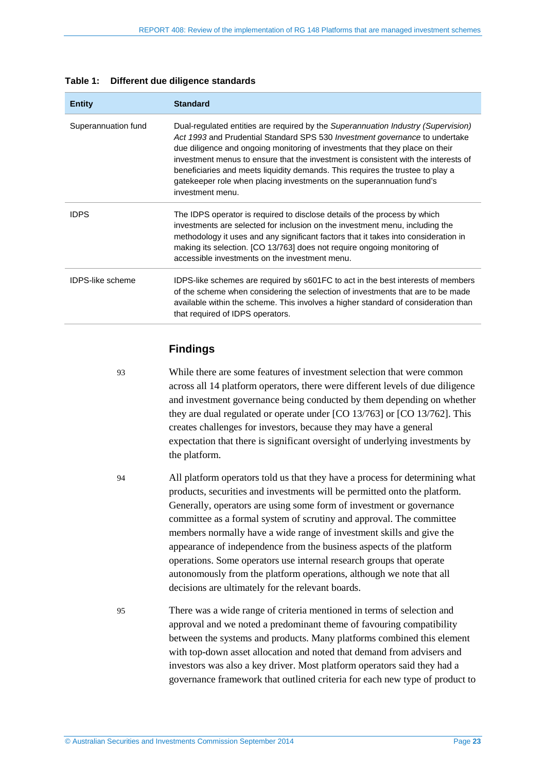| <b>Entity</b>           | <b>Standard</b>                                                                                                                                                                                                                                                                                                                                                                                                                                                                                                       |
|-------------------------|-----------------------------------------------------------------------------------------------------------------------------------------------------------------------------------------------------------------------------------------------------------------------------------------------------------------------------------------------------------------------------------------------------------------------------------------------------------------------------------------------------------------------|
| Superannuation fund     | Dual-regulated entities are required by the Superannuation Industry (Supervision)<br>Act 1993 and Prudential Standard SPS 530 Investment governance to undertake<br>due diligence and ongoing monitoring of investments that they place on their<br>investment menus to ensure that the investment is consistent with the interests of<br>beneficiaries and meets liquidity demands. This requires the trustee to play a<br>gatekeeper role when placing investments on the superannuation fund's<br>investment menu. |
| <b>IDPS</b>             | The IDPS operator is required to disclose details of the process by which<br>investments are selected for inclusion on the investment menu, including the<br>methodology it uses and any significant factors that it takes into consideration in<br>making its selection. [CO 13/763] does not require ongoing monitoring of<br>accessible investments on the investment menu.                                                                                                                                        |
| <b>IDPS-like scheme</b> | IDPS-like schemes are required by s601FC to act in the best interests of members<br>of the scheme when considering the selection of investments that are to be made<br>available within the scheme. This involves a higher standard of consideration than<br>that required of IDPS operators.                                                                                                                                                                                                                         |

#### <span id="page-22-0"></span>**Table 1: Different due diligence standards**

## **Findings**

93 While there are some features of investment selection that were common across all 14 platform operators, there were different levels of due diligence and investment governance being conducted by them depending on whether they are dual regulated or operate under [CO 13/763] or [CO 13/762]. This creates challenges for investors, because they may have a general expectation that there is significant oversight of underlying investments by the platform.

94 All platform operators told us that they have a process for determining what products, securities and investments will be permitted onto the platform. Generally, operators are using some form of investment or governance committee as a formal system of scrutiny and approval. The committee members normally have a wide range of investment skills and give the appearance of independence from the business aspects of the platform operations. Some operators use internal research groups that operate autonomously from the platform operations, although we note that all decisions are ultimately for the relevant boards.

95 There was a wide range of criteria mentioned in terms of selection and approval and we noted a predominant theme of favouring compatibility between the systems and products. Many platforms combined this element with top-down asset allocation and noted that demand from advisers and investors was also a key driver. Most platform operators said they had a governance framework that outlined criteria for each new type of product to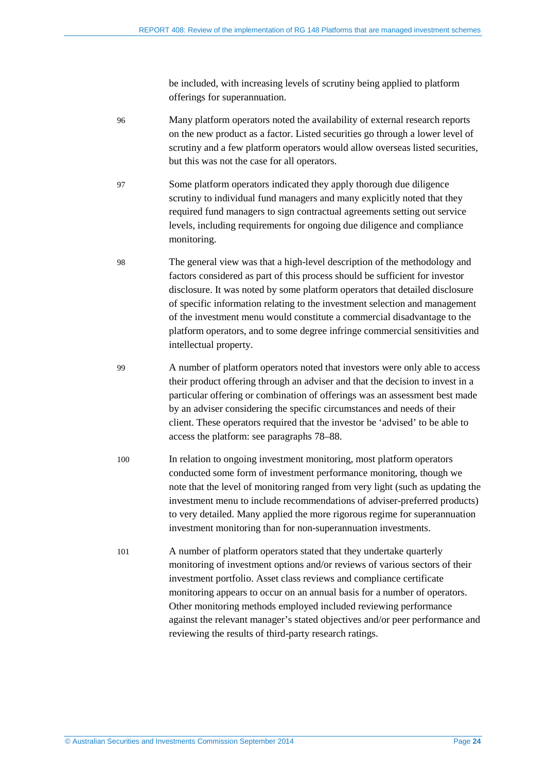be included, with increasing levels of scrutiny being applied to platform offerings for superannuation.

- 96 Many platform operators noted the availability of external research reports on the new product as a factor. Listed securities go through a lower level of scrutiny and a few platform operators would allow overseas listed securities, but this was not the case for all operators.
- 97 Some platform operators indicated they apply thorough due diligence scrutiny to individual fund managers and many explicitly noted that they required fund managers to sign contractual agreements setting out service levels, including requirements for ongoing due diligence and compliance monitoring.
- 98 The general view was that a high-level description of the methodology and factors considered as part of this process should be sufficient for investor disclosure. It was noted by some platform operators that detailed disclosure of specific information relating to the investment selection and management of the investment menu would constitute a commercial disadvantage to the platform operators, and to some degree infringe commercial sensitivities and intellectual property.
- 99 A number of platform operators noted that investors were only able to access their product offering through an adviser and that the decision to invest in a particular offering or combination of offerings was an assessment best made by an adviser considering the specific circumstances and needs of their client. These operators required that the investor be 'advised' to be able to access the platform: see paragraphs [78](#page-19-1)[–88.](#page-20-0)
- 100 In relation to ongoing investment monitoring, most platform operators conducted some form of investment performance monitoring, though we note that the level of monitoring ranged from very light (such as updating the investment menu to include recommendations of adviser-preferred products) to very detailed. Many applied the more rigorous regime for superannuation investment monitoring than for non-superannuation investments.
- 101 A number of platform operators stated that they undertake quarterly monitoring of investment options and/or reviews of various sectors of their investment portfolio. Asset class reviews and compliance certificate monitoring appears to occur on an annual basis for a number of operators. Other monitoring methods employed included reviewing performance against the relevant manager's stated objectives and/or peer performance and reviewing the results of third-party research ratings.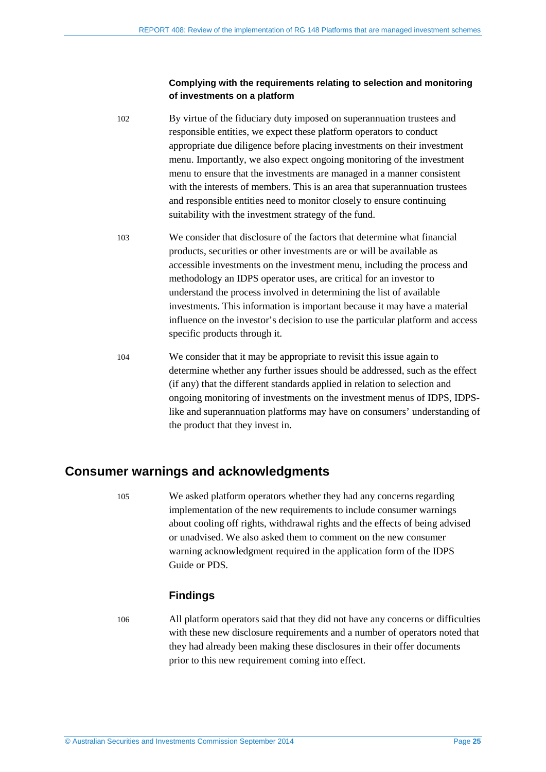#### **Complying with the requirements relating to selection and monitoring of investments on a platform**

- 102 By virtue of the fiduciary duty imposed on superannuation trustees and responsible entities, we expect these platform operators to conduct appropriate due diligence before placing investments on their investment menu. Importantly, we also expect ongoing monitoring of the investment menu to ensure that the investments are managed in a manner consistent with the interests of members. This is an area that superannuation trustees and responsible entities need to monitor closely to ensure continuing suitability with the investment strategy of the fund.
- 103 We consider that disclosure of the factors that determine what financial products, securities or other investments are or will be available as accessible investments on the investment menu, including the process and methodology an IDPS operator uses, are critical for an investor to understand the process involved in determining the list of available investments. This information is important because it may have a material influence on the investor's decision to use the particular platform and access specific products through it.
- 104 We consider that it may be appropriate to revisit this issue again to determine whether any further issues should be addressed, such as the effect (if any) that the different standards applied in relation to selection and ongoing monitoring of investments on the investment menus of IDPS, IDPSlike and superannuation platforms may have on consumers' understanding of the product that they invest in.

## <span id="page-24-0"></span>**Consumer warnings and acknowledgments**

105 We asked platform operators whether they had any concerns regarding implementation of the new requirements to include consumer warnings about cooling off rights, withdrawal rights and the effects of being advised or unadvised. We also asked them to comment on the new consumer warning acknowledgment required in the application form of the IDPS Guide or PDS.

### **Findings**

106 All platform operators said that they did not have any concerns or difficulties with these new disclosure requirements and a number of operators noted that they had already been making these disclosures in their offer documents prior to this new requirement coming into effect.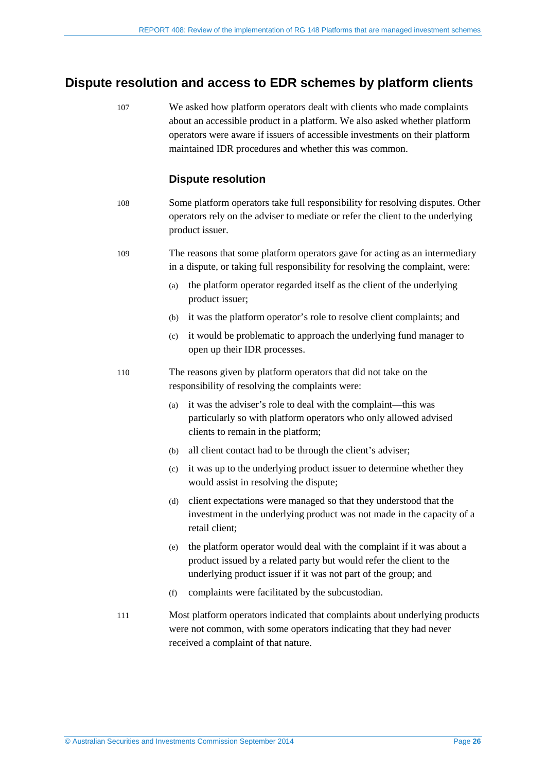## <span id="page-25-0"></span>**Dispute resolution and access to EDR schemes by platform clients**

107 We asked how platform operators dealt with clients who made complaints about an accessible product in a platform. We also asked whether platform operators were aware if issuers of accessible investments on their platform maintained IDR procedures and whether this was common.

#### **Dispute resolution**

- 108 Some platform operators take full responsibility for resolving disputes. Other operators rely on the adviser to mediate or refer the client to the underlying product issuer.
- 109 The reasons that some platform operators gave for acting as an intermediary in a dispute, or taking full responsibility for resolving the complaint, were:
	- (a) the platform operator regarded itself as the client of the underlying product issuer;
	- (b) it was the platform operator's role to resolve client complaints; and
	- (c) it would be problematic to approach the underlying fund manager to open up their IDR processes.
- 110 The reasons given by platform operators that did not take on the responsibility of resolving the complaints were:
	- (a) it was the adviser's role to deal with the complaint—this was particularly so with platform operators who only allowed advised clients to remain in the platform;
	- (b) all client contact had to be through the client's adviser;
	- (c) it was up to the underlying product issuer to determine whether they would assist in resolving the dispute;
	- (d) client expectations were managed so that they understood that the investment in the underlying product was not made in the capacity of a retail client;
	- (e) the platform operator would deal with the complaint if it was about a product issued by a related party but would refer the client to the underlying product issuer if it was not part of the group; and
	- (f) complaints were facilitated by the subcustodian.
- 111 Most platform operators indicated that complaints about underlying products were not common, with some operators indicating that they had never received a complaint of that nature.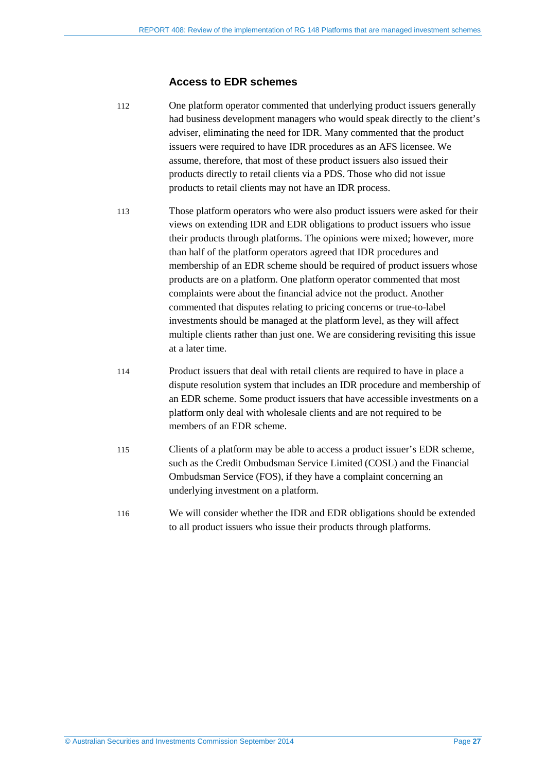#### **Access to EDR schemes**

- 112 One platform operator commented that underlying product issuers generally had business development managers who would speak directly to the client's adviser, eliminating the need for IDR. Many commented that the product issuers were required to have IDR procedures as an AFS licensee. We assume, therefore, that most of these product issuers also issued their products directly to retail clients via a PDS. Those who did not issue products to retail clients may not have an IDR process.
- 113 Those platform operators who were also product issuers were asked for their views on extending IDR and EDR obligations to product issuers who issue their products through platforms. The opinions were mixed; however, more than half of the platform operators agreed that IDR procedures and membership of an EDR scheme should be required of product issuers whose products are on a platform. One platform operator commented that most complaints were about the financial advice not the product. Another commented that disputes relating to pricing concerns or true-to-label investments should be managed at the platform level, as they will affect multiple clients rather than just one. We are considering revisiting this issue at a later time.
- 114 Product issuers that deal with retail clients are required to have in place a dispute resolution system that includes an IDR procedure and membership of an EDR scheme. Some product issuers that have accessible investments on a platform only deal with wholesale clients and are not required to be members of an EDR scheme.
- 115 Clients of a platform may be able to access a product issuer's EDR scheme, such as the Credit Ombudsman Service Limited (COSL) and the Financial Ombudsman Service (FOS), if they have a complaint concerning an underlying investment on a platform.
- 116 We will consider whether the IDR and EDR obligations should be extended to all product issuers who issue their products through platforms.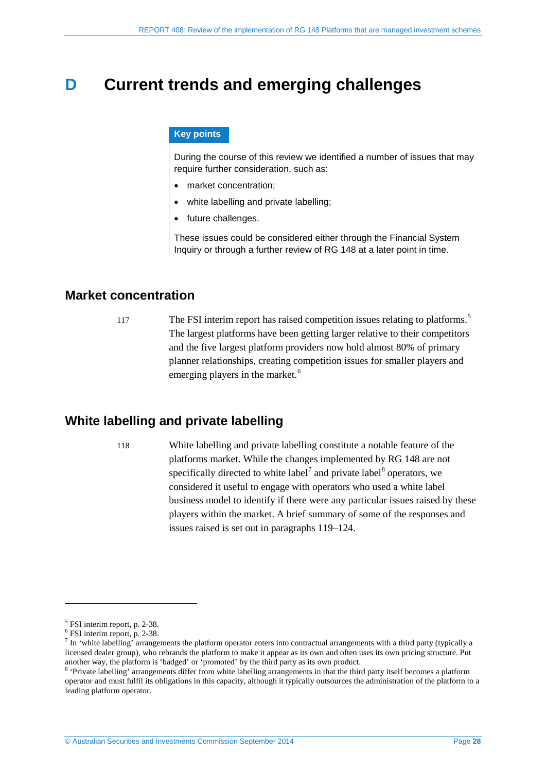## <span id="page-27-0"></span>**D Current trends and emerging challenges**

#### **Key points**

During the course of this review we identified a number of issues that may require further consideration, such as:

- market concentration;
- white labelling and private labelling;
- future challenges.

These issues could be considered either through the Financial System Inquiry or through a further review of RG 148 at a later point in time.

### <span id="page-27-1"></span>**Market concentration**

117 The FSI interim report has raised competition issues relating to platforms.<sup>[5](#page-27-3)</sup> The largest platforms have been getting larger relative to their competitors and the five largest platform providers now hold almost 80% of primary planner relationships, creating competition issues for smaller players and emerging players in the market.<sup>[6](#page-27-4)</sup>

## <span id="page-27-2"></span>**White labelling and private labelling**

118 White labelling and private labelling constitute a notable feature of the platforms market. While the changes implemented by RG 148 are not specifically directed to white label<sup> $7$ </sup> and private label<sup>[8](#page-27-6)</sup> operators, we considered it useful to engage with operators who used a white label business model to identify if there were any particular issues raised by these players within the market. A brief summary of some of the responses and issues raised is set out in paragraphs [119](#page-28-0)[–124.](#page-28-1)

<u>.</u>

<span id="page-27-5"></span>

<span id="page-27-4"></span><span id="page-27-3"></span><sup>&</sup>lt;sup>5</sup> FSI interim report, p. 2-38.<br><sup>6</sup> FSI interim report, p. 2-38.<br><sup>7</sup> In 'white labelling' arrangements the platform operator enters into contractual arrangements with a third party (typically a licensed dealer group), who rebrands the platform to make it appear as its own and often uses its own pricing structure. Put another way, the platform is 'badged' or 'promoted' by the third party as its own product.

<span id="page-27-6"></span> $\delta$  'Private labelling' arrangements differ from white labelling arrangements in that the third party itself becomes a platform operator and must fulfil its obligations in this capacity, although it typically outsources the administration of the platform to a leading platform operator.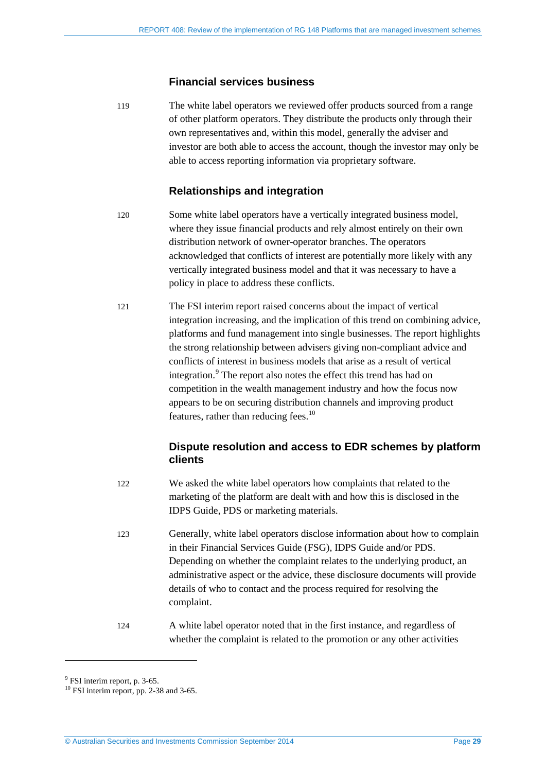#### **Financial services business**

<span id="page-28-0"></span>119 The white label operators we reviewed offer products sourced from a range of other platform operators. They distribute the products only through their own representatives and, within this model, generally the adviser and investor are both able to access the account, though the investor may only be able to access reporting information via proprietary software.

### **Relationships and integration**

- 120 Some white label operators have a vertically integrated business model, where they issue financial products and rely almost entirely on their own distribution network of owner-operator branches. The operators acknowledged that conflicts of interest are potentially more likely with any vertically integrated business model and that it was necessary to have a policy in place to address these conflicts.
- 121 The FSI interim report raised concerns about the impact of vertical integration increasing, and the implication of this trend on combining advice, platforms and fund management into single businesses. The report highlights the strong relationship between advisers giving non-compliant advice and conflicts of interest in business models that arise as a result of vertical integration.<sup>[9](#page-28-2)</sup> The report also notes the effect this trend has had on competition in the wealth management industry and how the focus now appears to be on securing distribution channels and improving product features, rather than reducing fees. $10$

### **Dispute resolution and access to EDR schemes by platform clients**

- 122 We asked the white label operators how complaints that related to the marketing of the platform are dealt with and how this is disclosed in the IDPS Guide, PDS or marketing materials.
- 123 Generally, white label operators disclose information about how to complain in their Financial Services Guide (FSG), IDPS Guide and/or PDS. Depending on whether the complaint relates to the underlying product, an administrative aspect or the advice, these disclosure documents will provide details of who to contact and the process required for resolving the complaint.
- 124 A white label operator noted that in the first instance, and regardless of whether the complaint is related to the promotion or any other activities

<span id="page-28-1"></span><u>.</u>

<span id="page-28-3"></span><span id="page-28-2"></span> $9$  FSI interim report, p. 3-65.<br><sup>10</sup> FSI interim report, pp. 2-38 and 3-65.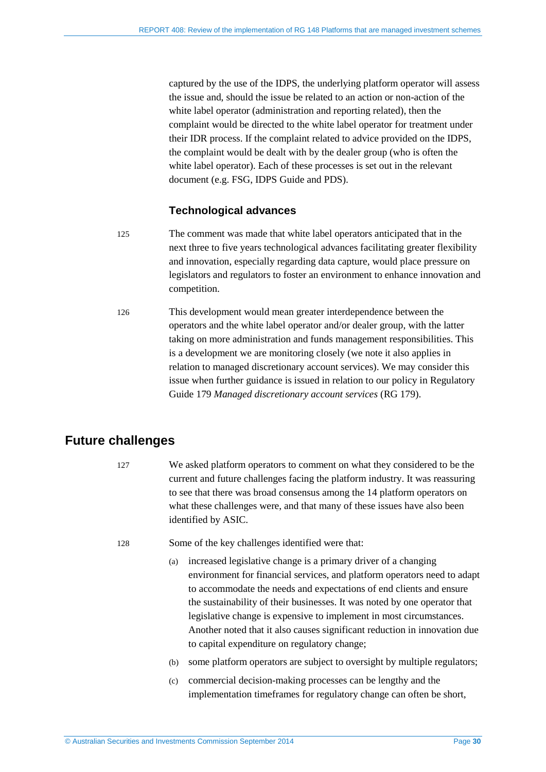captured by the use of the IDPS, the underlying platform operator will assess the issue and, should the issue be related to an action or non-action of the white label operator (administration and reporting related), then the complaint would be directed to the white label operator for treatment under their IDR process. If the complaint related to advice provided on the IDPS, the complaint would be dealt with by the dealer group (who is often the white label operator). Each of these processes is set out in the relevant document (e.g. FSG, IDPS Guide and PDS).

#### **Technological advances**

- 125 The comment was made that white label operators anticipated that in the next three to five years technological advances facilitating greater flexibility and innovation, especially regarding data capture, would place pressure on legislators and regulators to foster an environment to enhance innovation and competition.
- 126 This development would mean greater interdependence between the operators and the white label operator and/or dealer group, with the latter taking on more administration and funds management responsibilities. This is a development we are monitoring closely (we note it also applies in relation to managed discretionary account services). We may consider this issue when further guidance is issued in relation to our policy in Regulatory Guide 179 *Managed discretionary account services* (RG 179).

## <span id="page-29-0"></span>**Future challenges**

- 127 We asked platform operators to comment on what they considered to be the current and future challenges facing the platform industry. It was reassuring to see that there was broad consensus among the 14 platform operators on what these challenges were, and that many of these issues have also been identified by ASIC.
- 128 Some of the key challenges identified were that:
	- (a) increased legislative change is a primary driver of a changing environment for financial services, and platform operators need to adapt to accommodate the needs and expectations of end clients and ensure the sustainability of their businesses. It was noted by one operator that legislative change is expensive to implement in most circumstances. Another noted that it also causes significant reduction in innovation due to capital expenditure on regulatory change;
	- (b) some platform operators are subject to oversight by multiple regulators;
	- (c) commercial decision-making processes can be lengthy and the implementation timeframes for regulatory change can often be short,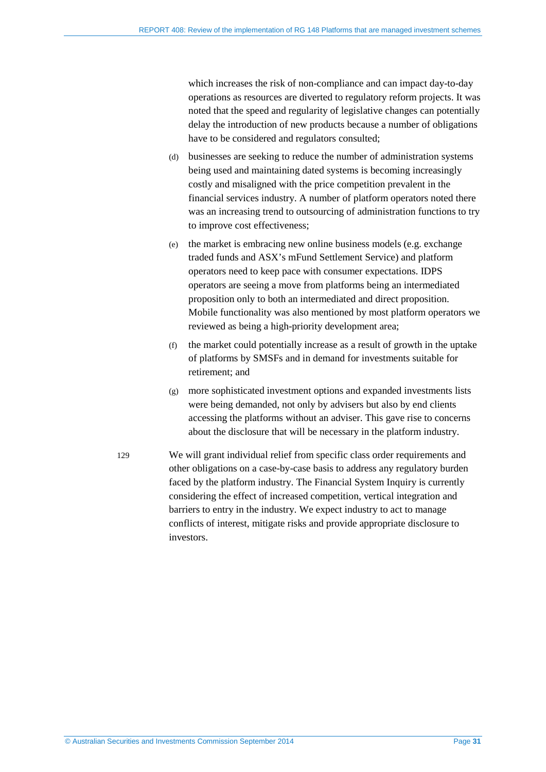which increases the risk of non-compliance and can impact day-to-day operations as resources are diverted to regulatory reform projects. It was noted that the speed and regularity of legislative changes can potentially delay the introduction of new products because a number of obligations have to be considered and regulators consulted;

- (d) businesses are seeking to reduce the number of administration systems being used and maintaining dated systems is becoming increasingly costly and misaligned with the price competition prevalent in the financial services industry. A number of platform operators noted there was an increasing trend to outsourcing of administration functions to try to improve cost effectiveness;
- (e) the market is embracing new online business models (e.g. exchange traded funds and ASX's mFund Settlement Service) and platform operators need to keep pace with consumer expectations. IDPS operators are seeing a move from platforms being an intermediated proposition only to both an intermediated and direct proposition. Mobile functionality was also mentioned by most platform operators we reviewed as being a high-priority development area;
- (f) the market could potentially increase as a result of growth in the uptake of platforms by SMSFs and in demand for investments suitable for retirement; and
- (g) more sophisticated investment options and expanded investments lists were being demanded, not only by advisers but also by end clients accessing the platforms without an adviser. This gave rise to concerns about the disclosure that will be necessary in the platform industry.
- 129 We will grant individual relief from specific class order requirements and other obligations on a case-by-case basis to address any regulatory burden faced by the platform industry. The Financial System Inquiry is currently considering the effect of increased competition, vertical integration and barriers to entry in the industry. We expect industry to act to manage conflicts of interest, mitigate risks and provide appropriate disclosure to investors.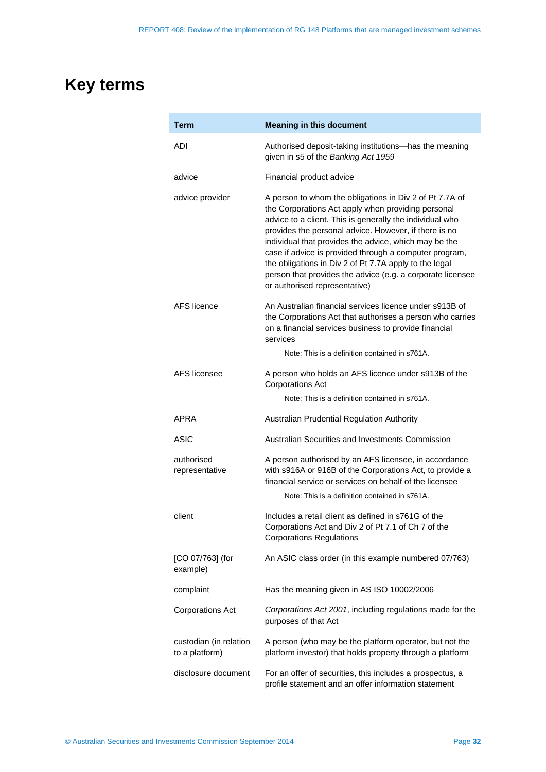## <span id="page-31-0"></span>**Key terms**

| Term                                     | <b>Meaning in this document</b>                                                                                                                                                                                                                                                                                                                                                                                                                                                                                |
|------------------------------------------|----------------------------------------------------------------------------------------------------------------------------------------------------------------------------------------------------------------------------------------------------------------------------------------------------------------------------------------------------------------------------------------------------------------------------------------------------------------------------------------------------------------|
| ADI                                      | Authorised deposit-taking institutions-has the meaning<br>given in s5 of the Banking Act 1959                                                                                                                                                                                                                                                                                                                                                                                                                  |
| advice                                   | Financial product advice                                                                                                                                                                                                                                                                                                                                                                                                                                                                                       |
| advice provider                          | A person to whom the obligations in Div 2 of Pt 7.7A of<br>the Corporations Act apply when providing personal<br>advice to a client. This is generally the individual who<br>provides the personal advice. However, if there is no<br>individual that provides the advice, which may be the<br>case if advice is provided through a computer program,<br>the obligations in Div 2 of Pt 7.7A apply to the legal<br>person that provides the advice (e.g. a corporate licensee<br>or authorised representative) |
| <b>AFS</b> licence                       | An Australian financial services licence under s913B of<br>the Corporations Act that authorises a person who carries<br>on a financial services business to provide financial<br>services                                                                                                                                                                                                                                                                                                                      |
|                                          | Note: This is a definition contained in s761A.                                                                                                                                                                                                                                                                                                                                                                                                                                                                 |
| AFS licensee                             | A person who holds an AFS licence under s913B of the<br><b>Corporations Act</b>                                                                                                                                                                                                                                                                                                                                                                                                                                |
|                                          | Note: This is a definition contained in s761A.                                                                                                                                                                                                                                                                                                                                                                                                                                                                 |
| APRA                                     | Australian Prudential Regulation Authority                                                                                                                                                                                                                                                                                                                                                                                                                                                                     |
| ASIC                                     | Australian Securities and Investments Commission                                                                                                                                                                                                                                                                                                                                                                                                                                                               |
| authorised<br>representative             | A person authorised by an AFS licensee, in accordance<br>with s916A or 916B of the Corporations Act, to provide a<br>financial service or services on behalf of the licensee                                                                                                                                                                                                                                                                                                                                   |
|                                          | Note: This is a definition contained in s761A.                                                                                                                                                                                                                                                                                                                                                                                                                                                                 |
| client                                   | Includes a retail client as defined in s761G of the<br>Corporations Act and Div 2 of Pt 7.1 of Ch 7 of the<br><b>Corporations Regulations</b>                                                                                                                                                                                                                                                                                                                                                                  |
| [CO 07/763] (for<br>example)             | An ASIC class order (in this example numbered 07/763)                                                                                                                                                                                                                                                                                                                                                                                                                                                          |
| complaint                                | Has the meaning given in AS ISO 10002/2006                                                                                                                                                                                                                                                                                                                                                                                                                                                                     |
| <b>Corporations Act</b>                  | Corporations Act 2001, including regulations made for the<br>purposes of that Act                                                                                                                                                                                                                                                                                                                                                                                                                              |
| custodian (in relation<br>to a platform) | A person (who may be the platform operator, but not the<br>platform investor) that holds property through a platform                                                                                                                                                                                                                                                                                                                                                                                           |
| disclosure document                      | For an offer of securities, this includes a prospectus, a<br>profile statement and an offer information statement                                                                                                                                                                                                                                                                                                                                                                                              |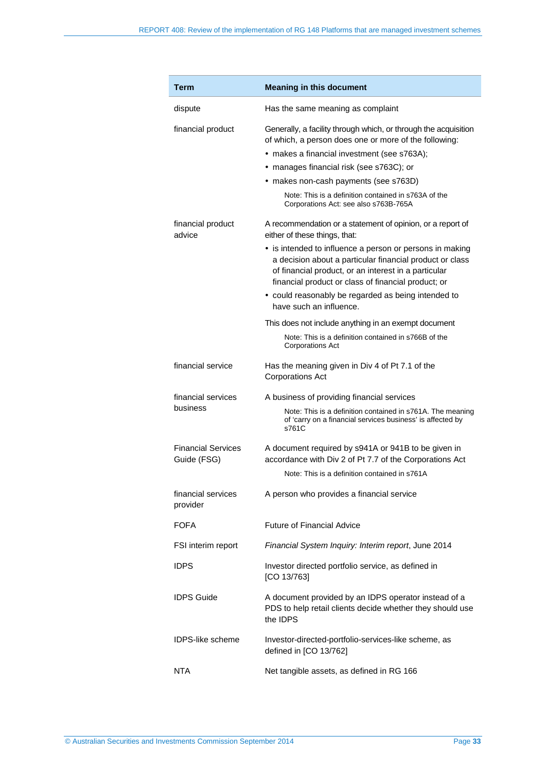| Term                                     | <b>Meaning in this document</b>                                                                                                                                                                                                                                                                                                                               |
|------------------------------------------|---------------------------------------------------------------------------------------------------------------------------------------------------------------------------------------------------------------------------------------------------------------------------------------------------------------------------------------------------------------|
| dispute                                  | Has the same meaning as complaint                                                                                                                                                                                                                                                                                                                             |
| financial product                        | Generally, a facility through which, or through the acquisition<br>of which, a person does one or more of the following:<br>• makes a financial investment (see s763A);<br>• manages financial risk (see s763C); or<br>• makes non-cash payments (see s763D)<br>Note: This is a definition contained in s763A of the<br>Corporations Act: see also s763B-765A |
| financial product<br>advice              | A recommendation or a statement of opinion, or a report of<br>either of these things, that:                                                                                                                                                                                                                                                                   |
|                                          | • is intended to influence a person or persons in making<br>a decision about a particular financial product or class<br>of financial product, or an interest in a particular<br>financial product or class of financial product; or<br>• could reasonably be regarded as being intended to<br>have such an influence.                                         |
|                                          | This does not include anything in an exempt document                                                                                                                                                                                                                                                                                                          |
|                                          | Note: This is a definition contained in s766B of the<br><b>Corporations Act</b>                                                                                                                                                                                                                                                                               |
| financial service                        | Has the meaning given in Div 4 of Pt 7.1 of the<br><b>Corporations Act</b>                                                                                                                                                                                                                                                                                    |
| financial services                       | A business of providing financial services                                                                                                                                                                                                                                                                                                                    |
| business                                 | Note: This is a definition contained in s761A. The meaning<br>of 'carry on a financial services business' is affected by<br>s761C                                                                                                                                                                                                                             |
| <b>Financial Services</b><br>Guide (FSG) | A document required by s941A or 941B to be given in<br>accordance with Div 2 of Pt 7.7 of the Corporations Act                                                                                                                                                                                                                                                |
|                                          | Note: This is a definition contained in s761A                                                                                                                                                                                                                                                                                                                 |
| financial services<br>provider           | A person who provides a financial service                                                                                                                                                                                                                                                                                                                     |
| <b>FOFA</b>                              | <b>Future of Financial Advice</b>                                                                                                                                                                                                                                                                                                                             |
| FSI interim report                       | Financial System Inquiry: Interim report, June 2014                                                                                                                                                                                                                                                                                                           |
| <b>IDPS</b>                              | Investor directed portfolio service, as defined in<br>[CO 13/763]                                                                                                                                                                                                                                                                                             |
| <b>IDPS Guide</b>                        | A document provided by an IDPS operator instead of a<br>PDS to help retail clients decide whether they should use<br>the IDPS                                                                                                                                                                                                                                 |
| <b>IDPS-like scheme</b>                  | Investor-directed-portfolio-services-like scheme, as<br>defined in [CO 13/762]                                                                                                                                                                                                                                                                                |
| <b>NTA</b>                               | Net tangible assets, as defined in RG 166                                                                                                                                                                                                                                                                                                                     |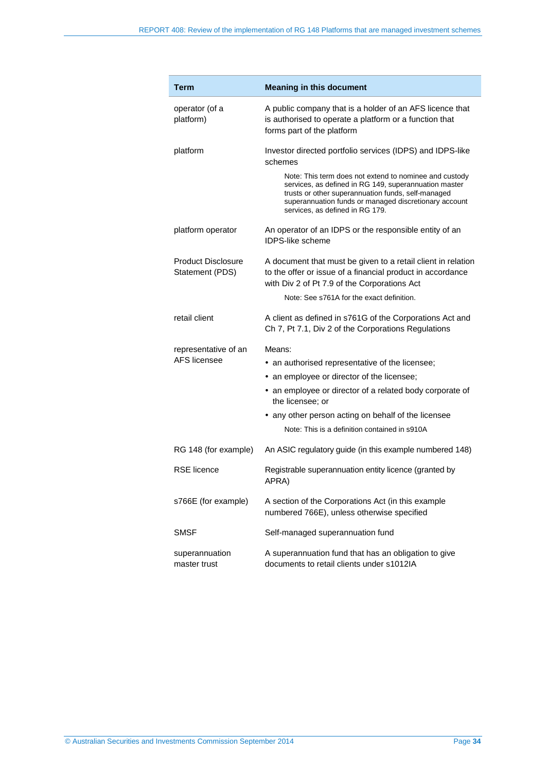| Term                                         | <b>Meaning in this document</b>                                                                                                                                                                                                                                   |
|----------------------------------------------|-------------------------------------------------------------------------------------------------------------------------------------------------------------------------------------------------------------------------------------------------------------------|
| operator (of a<br>platform)                  | A public company that is a holder of an AFS licence that<br>is authorised to operate a platform or a function that<br>forms part of the platform                                                                                                                  |
| platform                                     | Investor directed portfolio services (IDPS) and IDPS-like<br>schemes                                                                                                                                                                                              |
|                                              | Note: This term does not extend to nominee and custody<br>services, as defined in RG 149, superannuation master<br>trusts or other superannuation funds, self-managed<br>superannuation funds or managed discretionary account<br>services, as defined in RG 179. |
| platform operator                            | An operator of an IDPS or the responsible entity of an<br><b>IDPS-like scheme</b>                                                                                                                                                                                 |
| <b>Product Disclosure</b><br>Statement (PDS) | A document that must be given to a retail client in relation<br>to the offer or issue of a financial product in accordance<br>with Div 2 of Pt 7.9 of the Corporations Act                                                                                        |
|                                              | Note: See s761A for the exact definition.                                                                                                                                                                                                                         |
| retail client                                | A client as defined in s761G of the Corporations Act and<br>Ch 7, Pt 7.1, Div 2 of the Corporations Regulations                                                                                                                                                   |
| representative of an<br>AFS licensee         | Means:                                                                                                                                                                                                                                                            |
|                                              | • an authorised representative of the licensee;                                                                                                                                                                                                                   |
|                                              | • an employee or director of the licensee;                                                                                                                                                                                                                        |
|                                              | • an employee or director of a related body corporate of<br>the licensee; or                                                                                                                                                                                      |
|                                              | • any other person acting on behalf of the licensee                                                                                                                                                                                                               |
|                                              | Note: This is a definition contained in s910A                                                                                                                                                                                                                     |
| RG 148 (for example)                         | An ASIC regulatory guide (in this example numbered 148)                                                                                                                                                                                                           |
| <b>RSE</b> licence                           | Registrable superannuation entity licence (granted by<br>APRA)                                                                                                                                                                                                    |
| s766E (for example)                          | A section of the Corporations Act (in this example<br>numbered 766E), unless otherwise specified                                                                                                                                                                  |
| <b>SMSF</b>                                  | Self-managed superannuation fund                                                                                                                                                                                                                                  |
| superannuation<br>master trust               | A superannuation fund that has an obligation to give<br>documents to retail clients under s1012IA                                                                                                                                                                 |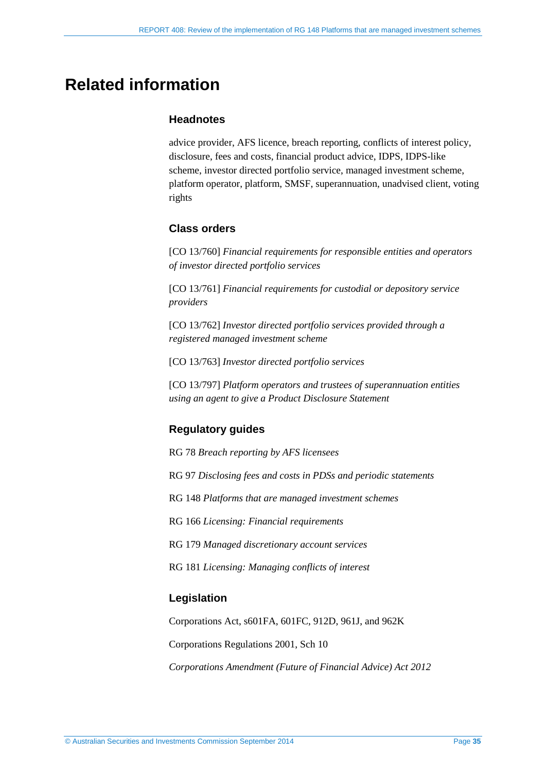## <span id="page-34-0"></span>**Related information**

#### **Headnotes**

advice provider, AFS licence, breach reporting, conflicts of interest policy, disclosure, fees and costs, financial product advice, IDPS, IDPS-like scheme, investor directed portfolio service, managed investment scheme, platform operator, platform, SMSF, superannuation, unadvised client, voting rights

#### **Class orders**

[CO 13/760] *Financial requirements for responsible entities and operators of investor directed portfolio services*

[CO 13/761] *Financial requirements for custodial or depository service providers*

[CO 13/762] *Investor directed portfolio services provided through a registered managed investment scheme*

[CO 13/763] *Investor directed portfolio services*

[CO 13/797] *Platform operators and trustees of superannuation entities using an agent to give a Product Disclosure Statement*

## **Regulatory guides**

RG 78 *Breach reporting by AFS licensees*

RG 97 *Disclosing fees and costs in PDSs and periodic statements*

RG 148 *Platforms that are managed investment schemes*

RG 166 *Licensing: Financial requirements*

RG 179 *Managed discretionary account services*

RG 181 *Licensing: Managing conflicts of interest*

### **Legislation**

Corporations Act, s601FA, 601FC, 912D, 961J, and 962K

Corporations Regulations 2001, Sch 10

*Corporations Amendment (Future of Financial Advice) Act 2012*